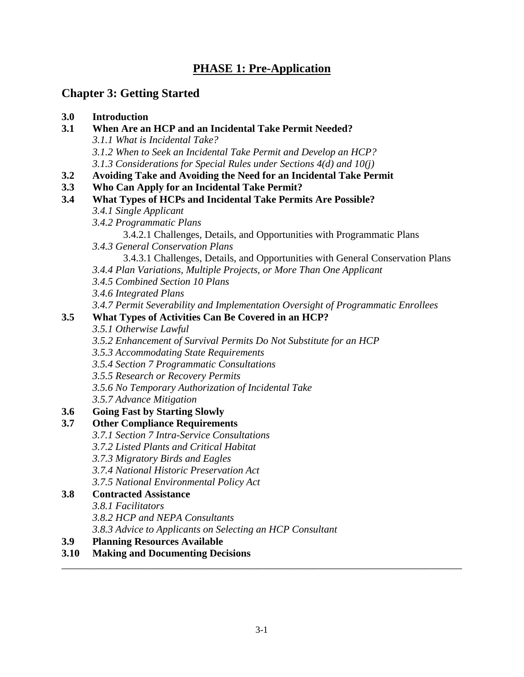# **PHASE 1: Pre-Application**

# **Chapter 3: Getting Started**

# **3.0 Introduction**

- **3.1 When Are an HCP and an Incidental Take Permit Needed?** *3.1.1 What is Incidental Take? 3.1.2 When to Seek an Incidental Take Permit and Develop an HCP? 3.1.3 Considerations for Special Rules under Sections 4(d) and 10(j)*
- **3.2 Avoiding Take and Avoiding the Need for an Incidental Take Permit**
- **3.3 Who Can Apply for an Incidental Take Permit?**
- **3.4 What Types of HCPs and Incidental Take Permits Are Possible?**
	- *3.4.1 Single Applicant*
	- *3.4.2 Programmatic Plans*
		- 3.4.2.1 Challenges, Details, and Opportunities with Programmatic Plans
	- *3.4.3 General Conservation Plans*
		- 3.4.3.1 Challenges, Details, and Opportunities with General Conservation Plans
	- *3.4.4 Plan Variations, Multiple Projects, or More Than One Applicant*
	- *3.4.5 Combined Section 10 Plans*
	- *3.4.6 Integrated Plans*
	- *3.4.7 Permit Severability and Implementation Oversight of Programmatic Enrollees*

# **3.5 What Types of Activities Can Be Covered in an HCP?**

- *3.5.1 Otherwise Lawful*
- *3.5.2 Enhancement of Survival Permits Do Not Substitute for an HCP*
- *3.5.3 Accommodating State Requirements*
- *3.5.4 Section 7 Programmatic Consultations*
- *3.5.5 Research or Recovery Permits*
- *3.5.6 No Temporary Authorization of Incidental Take*
- *3.5.7 Advance Mitigation*

# **3.6 Going Fast by Starting Slowly**

# **3.7 Other Compliance Requirements**

- *3.7.1 Section 7 Intra-Service Consultations*
- *3.7.2 Listed Plants and Critical Habitat*
- *3.7.3 Migratory Birds and Eagles*
- *3.7.4 National Historic Preservation Act*
- *3.7.5 National Environmental Policy Act*

# **3.8 Contracted Assistance**

- *3.8.1 Facilitators*
- *3.8.2 HCP and NEPA Consultants*
- *3.8.3 Advice to Applicants on Selecting an HCP Consultant*
- **3.9 Planning Resources Available**

# **3.10 Making and Documenting Decisions**

\_\_\_\_\_\_\_\_\_\_\_\_\_\_\_\_\_\_\_\_\_\_\_\_\_\_\_\_\_\_\_\_\_\_\_\_\_\_\_\_\_\_\_\_\_\_\_\_\_\_\_\_\_\_\_\_\_\_\_\_\_\_\_\_\_\_\_\_\_\_\_\_\_\_\_\_\_\_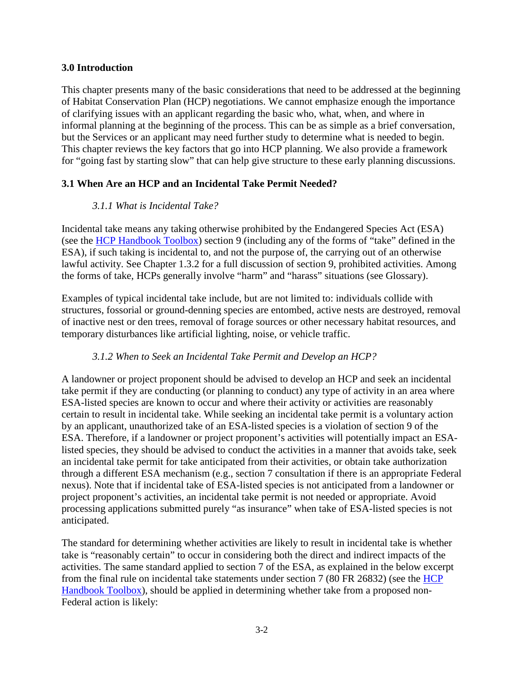#### **3.0 Introduction**

This chapter presents many of the basic considerations that need to be addressed at the beginning of Habitat Conservation Plan (HCP) negotiations. We cannot emphasize enough the importance of clarifying issues with an applicant regarding the basic who, what, when, and where in informal planning at the beginning of the process. This can be as simple as a brief conversation, but the Services or an applicant may need further study to determine what is needed to begin. This chapter reviews the key factors that go into HCP planning. We also provide a framework for "going fast by starting slow" that can help give structure to these early planning discussions.

## **3.1 When Are an HCP and an Incidental Take Permit Needed?**

## *3.1.1 What is Incidental Take?*

Incidental take means any taking otherwise prohibited by the Endangered Species Act (ESA) (see the [HCP Handbook Toolbox\)](https://www.fws.gov/endangered/what-we-do/hcp-handbook-toolbox.html#Ch3) section 9 (including any of the forms of "take" defined in the ESA), if such taking is incidental to, and not the purpose of, the carrying out of an otherwise lawful activity. See Chapter 1.3.2 for a full discussion of section 9, prohibited activities. Among the forms of take, HCPs generally involve "harm" and "harass" situations (see Glossary).

Examples of typical incidental take include, but are not limited to: individuals collide with structures, fossorial or ground-denning species are entombed, active nests are destroyed, removal of inactive nest or den trees, removal of forage sources or other necessary habitat resources, and temporary disturbances like artificial lighting, noise, or vehicle traffic.

## *3.1.2 When to Seek an Incidental Take Permit and Develop an HCP?*

A landowner or project proponent should be advised to develop an HCP and seek an incidental take permit if they are conducting (or planning to conduct) any type of activity in an area where ESA-listed species are known to occur and where their activity or activities are reasonably certain to result in incidental take. While seeking an incidental take permit is a voluntary action by an applicant, unauthorized take of an ESA-listed species is a violation of section 9 of the ESA. Therefore, if a landowner or project proponent's activities will potentially impact an ESAlisted species, they should be advised to conduct the activities in a manner that avoids take, seek an incidental take permit for take anticipated from their activities, or obtain take authorization through a different ESA mechanism (e.g., section 7 consultation if there is an appropriate Federal nexus). Note that if incidental take of ESA-listed species is not anticipated from a landowner or project proponent's activities, an incidental take permit is not needed or appropriate. Avoid processing applications submitted purely "as insurance" when take of ESA-listed species is not anticipated.

The standard for determining whether activities are likely to result in incidental take is whether take is "reasonably certain" to occur in considering both the direct and indirect impacts of the activities. The same standard applied to section 7 of the ESA, as explained in the below excerpt from the final rule on incidental take statements under section 7 (80 FR 26832) (see the [HCP](https://www.fws.gov/endangered/what-we-do/hcp-handbook-toolbox.html#Ch3)  [Handbook Toolbox\)](https://www.fws.gov/endangered/what-we-do/hcp-handbook-toolbox.html#Ch3), should be applied in determining whether take from a proposed non-Federal action is likely: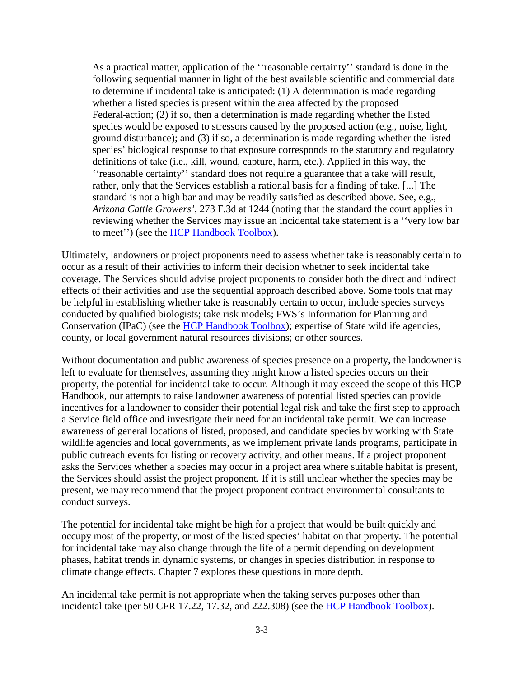As a practical matter, application of the ''reasonable certainty'' standard is done in the following sequential manner in light of the best available scientific and commercial data to determine if incidental take is anticipated: (1) A determination is made regarding whether a listed species is present within the area affected by the proposed Federal action; (2) if so, then a determination is made regarding whether the listed species would be exposed to stressors caused by the proposed action (e.g., noise, light, ground disturbance); and (3) if so, a determination is made regarding whether the listed species' biological response to that exposure corresponds to the statutory and regulatory definitions of take (i.e., kill, wound, capture, harm, etc.). Applied in this way, the ''reasonable certainty'' standard does not require a guarantee that a take will result, rather, only that the Services establish a rational basis for a finding of take. [...] The standard is not a high bar and may be readily satisfied as described above. See, e.g., *Arizona Cattle Growers'*, 273 F.3d at 1244 (noting that the standard the court applies in reviewing whether the Services may issue an incidental take statement is a ''very low bar to meet") (see the [HCP Handbook Toolbox\)](https://www.fws.gov/endangered/what-we-do/hcp-handbook-toolbox.html#Ch3).

Ultimately, landowners or project proponents need to assess whether take is reasonably certain to occur as a result of their activities to inform their decision whether to seek incidental take coverage. The Services should advise project proponents to consider both the direct and indirect effects of their activities and use the sequential approach described above. Some tools that may be helpful in establishing whether take is reasonably certain to occur, include species surveys conducted by qualified biologists; take risk models; FWS's Information for Planning and Conservation (IPaC) (see the [HCP Handbook Toolbox\)](https://www.fws.gov/endangered/what-we-do/hcp-handbook-toolbox.html#Ch3); expertise of State wildlife agencies, county, or local government natural resources divisions; or other sources.

Without documentation and public awareness of species presence on a property, the landowner is left to evaluate for themselves, assuming they might know a listed species occurs on their property, the potential for incidental take to occur. Although it may exceed the scope of this HCP Handbook, our attempts to raise landowner awareness of potential listed species can provide incentives for a landowner to consider their potential legal risk and take the first step to approach a Service field office and investigate their need for an incidental take permit. We can increase awareness of general locations of listed, proposed, and candidate species by working with State wildlife agencies and local governments, as we implement private lands programs, participate in public outreach events for listing or recovery activity, and other means. If a project proponent asks the Services whether a species may occur in a project area where suitable habitat is present, the Services should assist the project proponent. If it is still unclear whether the species may be present, we may recommend that the project proponent contract environmental consultants to conduct surveys.

The potential for incidental take might be high for a project that would be built quickly and occupy most of the property, or most of the listed species' habitat on that property. The potential for incidental take may also change through the life of a permit depending on development phases, habitat trends in dynamic systems, or changes in species distribution in response to climate change effects. Chapter 7 explores these questions in more depth.

An incidental take permit is not appropriate when the taking serves purposes other than incidental take (per 50 CFR 17.22, 17.32, and 222.308) (see the [HCP Handbook Toolbox\)](https://www.fws.gov/endangered/what-we-do/hcp-handbook-toolbox.html#Ch3).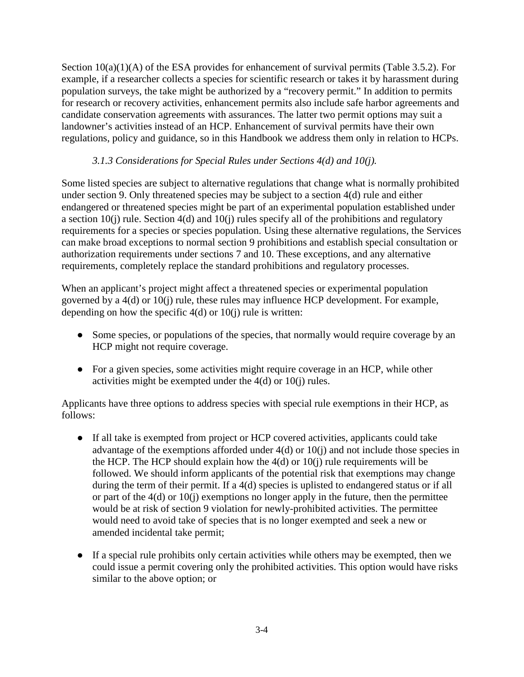Section  $10(a)(1)(A)$  of the ESA provides for enhancement of survival permits (Table 3.5.2). For example, if a researcher collects a species for scientific research or takes it by harassment during population surveys, the take might be authorized by a "recovery permit." In addition to permits for research or recovery activities, enhancement permits also include safe harbor agreements and candidate conservation agreements with assurances. The latter two permit options may suit a landowner's activities instead of an HCP. Enhancement of survival permits have their own regulations, policy and guidance, so in this Handbook we address them only in relation to HCPs.

## *3.1.3 Considerations for Special Rules under Sections 4(d) and 10(j).*

Some listed species are subject to alternative regulations that change what is normally prohibited under section 9. Only threatened species may be subject to a section 4(d) rule and either endangered or threatened species might be part of an experimental population established under a section 10(j) rule. Section 4(d) and 10(j) rules specify all of the prohibitions and regulatory requirements for a species or species population. Using these alternative regulations, the Services can make broad exceptions to normal section 9 prohibitions and establish special consultation or authorization requirements under sections 7 and 10. These exceptions, and any alternative requirements, completely replace the standard prohibitions and regulatory processes.

When an applicant's project might affect a threatened species or experimental population governed by a 4(d) or 10(j) rule, these rules may influence HCP development. For example, depending on how the specific  $4(d)$  or  $10(i)$  rule is written:

- Some species, or populations of the species, that normally would require coverage by an HCP might not require coverage.
- For a given species, some activities might require coverage in an HCP, while other activities might be exempted under the 4(d) or 10(j) rules.

Applicants have three options to address species with special rule exemptions in their HCP, as follows:

- If all take is exempted from project or HCP covered activities, applicants could take advantage of the exemptions afforded under 4(d) or 10(j) and not include those species in the HCP. The HCP should explain how the  $4(d)$  or  $10(i)$  rule requirements will be followed. We should inform applicants of the potential risk that exemptions may change during the term of their permit. If a 4(d) species is uplisted to endangered status or if all or part of the  $4(d)$  or  $10(i)$  exemptions no longer apply in the future, then the permittee would be at risk of section 9 violation for newly-prohibited activities. The permittee would need to avoid take of species that is no longer exempted and seek a new or amended incidental take permit;
- If a special rule prohibits only certain activities while others may be exempted, then we could issue a permit covering only the prohibited activities. This option would have risks similar to the above option; or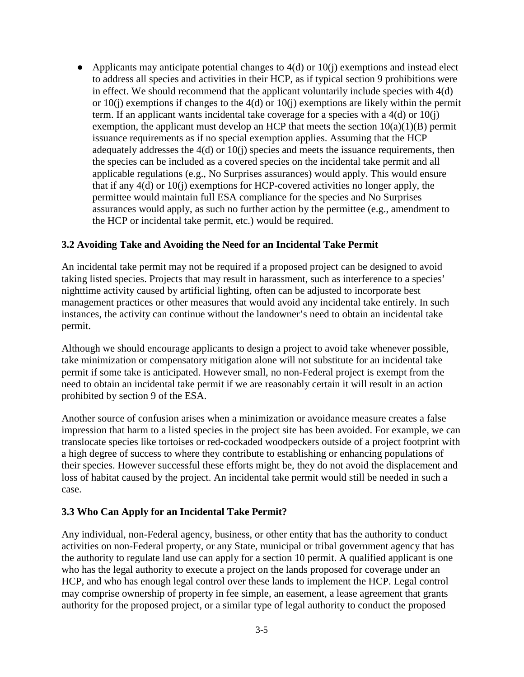• Applicants may anticipate potential changes to  $4(d)$  or  $10(i)$  exemptions and instead elect to address all species and activities in their HCP, as if typical section 9 prohibitions were in effect. We should recommend that the applicant voluntarily include species with 4(d) or  $10(i)$  exemptions if changes to the  $4(d)$  or  $10(i)$  exemptions are likely within the permit term. If an applicant wants incidental take coverage for a species with a  $4(d)$  or  $10(i)$ exemption, the applicant must develop an HCP that meets the section  $10(a)(1)(B)$  permit issuance requirements as if no special exemption applies. Assuming that the HCP adequately addresses the 4(d) or 10(j) species and meets the issuance requirements, then the species can be included as a covered species on the incidental take permit and all applicable regulations (e.g., No Surprises assurances) would apply. This would ensure that if any 4(d) or 10(j) exemptions for HCP-covered activities no longer apply, the permittee would maintain full ESA compliance for the species and No Surprises assurances would apply, as such no further action by the permittee (e.g., amendment to the HCP or incidental take permit, etc.) would be required.

#### **3.2 Avoiding Take and Avoiding the Need for an Incidental Take Permit**

An incidental take permit may not be required if a proposed project can be designed to avoid taking listed species. Projects that may result in harassment, such as interference to a species' nighttime activity caused by artificial lighting, often can be adjusted to incorporate best management practices or other measures that would avoid any incidental take entirely. In such instances, the activity can continue without the landowner's need to obtain an incidental take permit.

Although we should encourage applicants to design a project to avoid take whenever possible, take minimization or compensatory mitigation alone will not substitute for an incidental take permit if some take is anticipated. However small, no non-Federal project is exempt from the need to obtain an incidental take permit if we are reasonably certain it will result in an action prohibited by section 9 of the ESA.

Another source of confusion arises when a minimization or avoidance measure creates a false impression that harm to a listed species in the project site has been avoided. For example, we can translocate species like tortoises or red-cockaded woodpeckers outside of a project footprint with a high degree of success to where they contribute to establishing or enhancing populations of their species. However successful these efforts might be, they do not avoid the displacement and loss of habitat caused by the project. An incidental take permit would still be needed in such a case.

#### **3.3 Who Can Apply for an Incidental Take Permit?**

Any individual, non-Federal agency, business, or other entity that has the authority to conduct activities on non-Federal property, or any State, municipal or tribal government agency that has the authority to regulate land use can apply for a section 10 permit. A qualified applicant is one who has the legal authority to execute a project on the lands proposed for coverage under an HCP, and who has enough legal control over these lands to implement the HCP. Legal control may comprise ownership of property in fee simple, an easement, a lease agreement that grants authority for the proposed project, or a similar type of legal authority to conduct the proposed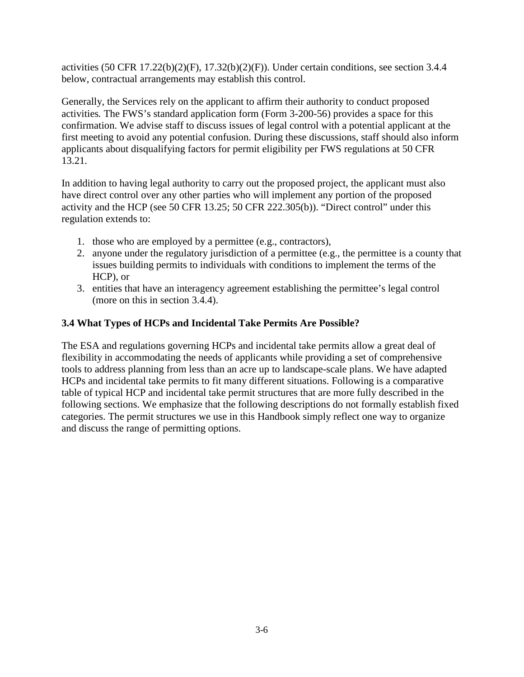activities (50 CFR 17.22(b)(2)(F), 17.32(b)(2)(F)). Under certain conditions, see section 3.4.4 below, contractual arrangements may establish this control.

Generally, the Services rely on the applicant to affirm their authority to conduct proposed activities*.* The FWS's standard application form (Form 3-200-56) provides a space for this confirmation. We advise staff to discuss issues of legal control with a potential applicant at the first meeting to avoid any potential confusion. During these discussions, staff should also inform applicants about disqualifying factors for permit eligibility per FWS regulations at 50 CFR 13.21.

In addition to having legal authority to carry out the proposed project, the applicant must also have direct control over any other parties who will implement any portion of the proposed activity and the HCP (see 50 CFR 13.25; 50 CFR 222.305(b)). "Direct control" under this regulation extends to:

- 1. those who are employed by a permittee (e.g., contractors),
- 2. anyone under the regulatory jurisdiction of a permittee (e.g., the permittee is a county that issues building permits to individuals with conditions to implement the terms of the HCP), or
- 3. entities that have an interagency agreement establishing the permittee's legal control (more on this in section 3.4.4).

# **3.4 What Types of HCPs and Incidental Take Permits Are Possible?**

The ESA and regulations governing HCPs and incidental take permits allow a great deal of flexibility in accommodating the needs of applicants while providing a set of comprehensive tools to address planning from less than an acre up to landscape-scale plans. We have adapted HCPs and incidental take permits to fit many different situations. Following is a comparative table of typical HCP and incidental take permit structures that are more fully described in the following sections. We emphasize that the following descriptions do not formally establish fixed categories. The permit structures we use in this Handbook simply reflect one way to organize and discuss the range of permitting options.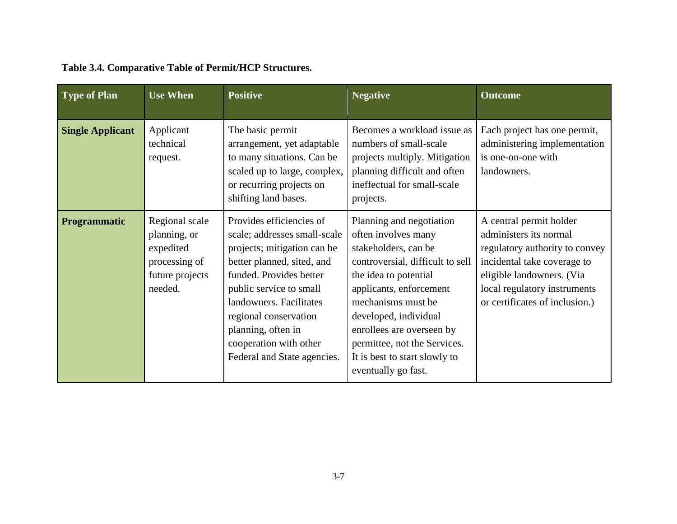| <b>Type of Plan</b>     | <b>Use When</b>                                                                            | <b>Positive</b>                                                                                                                                                                                                                                                                                                | <b>Negative</b>                                                                                                                                                                                                                                                                                                                     | <b>Outcome</b>                                                                                                                                                                                                    |
|-------------------------|--------------------------------------------------------------------------------------------|----------------------------------------------------------------------------------------------------------------------------------------------------------------------------------------------------------------------------------------------------------------------------------------------------------------|-------------------------------------------------------------------------------------------------------------------------------------------------------------------------------------------------------------------------------------------------------------------------------------------------------------------------------------|-------------------------------------------------------------------------------------------------------------------------------------------------------------------------------------------------------------------|
| <b>Single Applicant</b> | Applicant<br>technical<br>request.                                                         | The basic permit<br>arrangement, yet adaptable<br>to many situations. Can be<br>scaled up to large, complex,<br>or recurring projects on<br>shifting land bases.                                                                                                                                               | Becomes a workload issue as<br>numbers of small-scale<br>projects multiply. Mitigation<br>planning difficult and often<br>ineffectual for small-scale<br>projects.                                                                                                                                                                  | Each project has one permit,<br>administering implementation<br>is one-on-one with<br>landowners.                                                                                                                 |
| <b>Programmatic</b>     | Regional scale<br>planning, or<br>expedited<br>processing of<br>future projects<br>needed. | Provides efficiencies of<br>scale; addresses small-scale<br>projects; mitigation can be<br>better planned, sited, and<br>funded. Provides better<br>public service to small<br>landowners. Facilitates<br>regional conservation<br>planning, often in<br>cooperation with other<br>Federal and State agencies. | Planning and negotiation<br>often involves many<br>stakeholders, can be<br>controversial, difficult to sell<br>the idea to potential<br>applicants, enforcement<br>mechanisms must be<br>developed, individual<br>enrollees are overseen by<br>permittee, not the Services.<br>It is best to start slowly to<br>eventually go fast. | A central permit holder<br>administers its normal<br>regulatory authority to convey<br>incidental take coverage to<br>eligible landowners. (Via<br>local regulatory instruments<br>or certificates of inclusion.) |

# **Table 3.4. Comparative Table of Permit/HCP Structures.**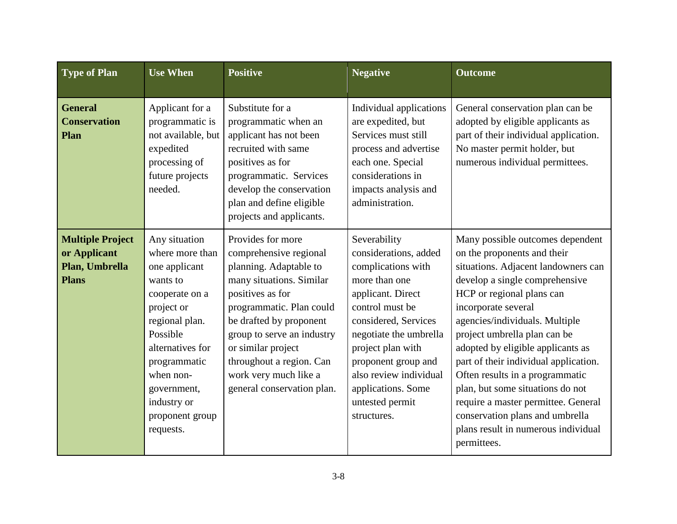| <b>Type of Plan</b>                                                       | <b>Use When</b>                                                                                                                                                                                                                            | <b>Positive</b>                                                                                                                                                                                                                                                                                                     | <b>Negative</b>                                                                                                                                                                                                                                                                                      | <b>Outcome</b>                                                                                                                                                                                                                                                                                                                                                                                                                                                                                                                                      |
|---------------------------------------------------------------------------|--------------------------------------------------------------------------------------------------------------------------------------------------------------------------------------------------------------------------------------------|---------------------------------------------------------------------------------------------------------------------------------------------------------------------------------------------------------------------------------------------------------------------------------------------------------------------|------------------------------------------------------------------------------------------------------------------------------------------------------------------------------------------------------------------------------------------------------------------------------------------------------|-----------------------------------------------------------------------------------------------------------------------------------------------------------------------------------------------------------------------------------------------------------------------------------------------------------------------------------------------------------------------------------------------------------------------------------------------------------------------------------------------------------------------------------------------------|
| <b>General</b><br><b>Conservation</b><br>Plan                             | Applicant for a<br>programmatic is<br>not available, but<br>expedited<br>processing of<br>future projects<br>needed.                                                                                                                       | Substitute for a<br>programmatic when an<br>applicant has not been<br>recruited with same<br>positives as for<br>programmatic. Services<br>develop the conservation<br>plan and define eligible<br>projects and applicants.                                                                                         | Individual applications<br>are expedited, but<br>Services must still<br>process and advertise<br>each one. Special<br>considerations in<br>impacts analysis and<br>administration.                                                                                                                   | General conservation plan can be<br>adopted by eligible applicants as<br>part of their individual application.<br>No master permit holder, but<br>numerous individual permittees.                                                                                                                                                                                                                                                                                                                                                                   |
| <b>Multiple Project</b><br>or Applicant<br>Plan, Umbrella<br><b>Plans</b> | Any situation<br>where more than<br>one applicant<br>wants to<br>cooperate on a<br>project or<br>regional plan.<br>Possible<br>alternatives for<br>programmatic<br>when non-<br>government,<br>industry or<br>proponent group<br>requests. | Provides for more<br>comprehensive regional<br>planning. Adaptable to<br>many situations. Similar<br>positives as for<br>programmatic. Plan could<br>be drafted by proponent<br>group to serve an industry<br>or similar project<br>throughout a region. Can<br>work very much like a<br>general conservation plan. | Severability<br>considerations, added<br>complications with<br>more than one<br>applicant. Direct<br>control must be<br>considered, Services<br>negotiate the umbrella<br>project plan with<br>proponent group and<br>also review individual<br>applications. Some<br>untested permit<br>structures. | Many possible outcomes dependent<br>on the proponents and their<br>situations. Adjacent landowners can<br>develop a single comprehensive<br>HCP or regional plans can<br>incorporate several<br>agencies/individuals. Multiple<br>project umbrella plan can be<br>adopted by eligible applicants as<br>part of their individual application.<br>Often results in a programmatic<br>plan, but some situations do not<br>require a master permittee. General<br>conservation plans and umbrella<br>plans result in numerous individual<br>permittees. |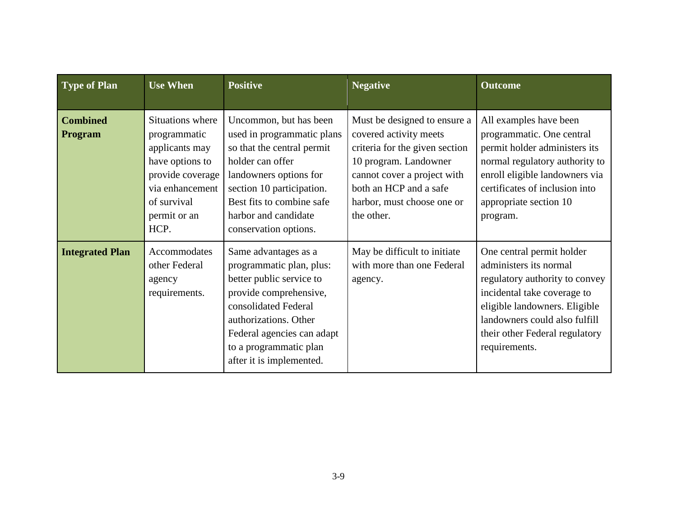| <b>Type of Plan</b>        | <b>Use When</b>                                                                                                                                     | <b>Positive</b>                                                                                                                                                                                                                             | <b>Negative</b>                                                                                                                                                                                                        | <b>Outcome</b>                                                                                                                                                                                                                            |
|----------------------------|-----------------------------------------------------------------------------------------------------------------------------------------------------|---------------------------------------------------------------------------------------------------------------------------------------------------------------------------------------------------------------------------------------------|------------------------------------------------------------------------------------------------------------------------------------------------------------------------------------------------------------------------|-------------------------------------------------------------------------------------------------------------------------------------------------------------------------------------------------------------------------------------------|
| <b>Combined</b><br>Program | Situations where<br>programmatic<br>applicants may<br>have options to<br>provide coverage<br>via enhancement<br>of survival<br>permit or an<br>HCP. | Uncommon, but has been<br>used in programmatic plans<br>so that the central permit<br>holder can offer<br>landowners options for<br>section 10 participation.<br>Best fits to combine safe<br>harbor and candidate<br>conservation options. | Must be designed to ensure a<br>covered activity meets<br>criteria for the given section<br>10 program. Landowner<br>cannot cover a project with<br>both an HCP and a safe<br>harbor, must choose one or<br>the other. | All examples have been<br>programmatic. One central<br>permit holder administers its<br>normal regulatory authority to<br>enroll eligible landowners via<br>certificates of inclusion into<br>appropriate section 10<br>program.          |
| <b>Integrated Plan</b>     | Accommodates<br>other Federal<br>agency<br>requirements.                                                                                            | Same advantages as a<br>programmatic plan, plus:<br>better public service to<br>provide comprehensive,<br>consolidated Federal<br>authorizations. Other<br>Federal agencies can adapt<br>to a programmatic plan<br>after it is implemented. | May be difficult to initiate<br>with more than one Federal<br>agency.                                                                                                                                                  | One central permit holder<br>administers its normal<br>regulatory authority to convey<br>incidental take coverage to<br>eligible landowners. Eligible<br>landowners could also fulfill<br>their other Federal regulatory<br>requirements. |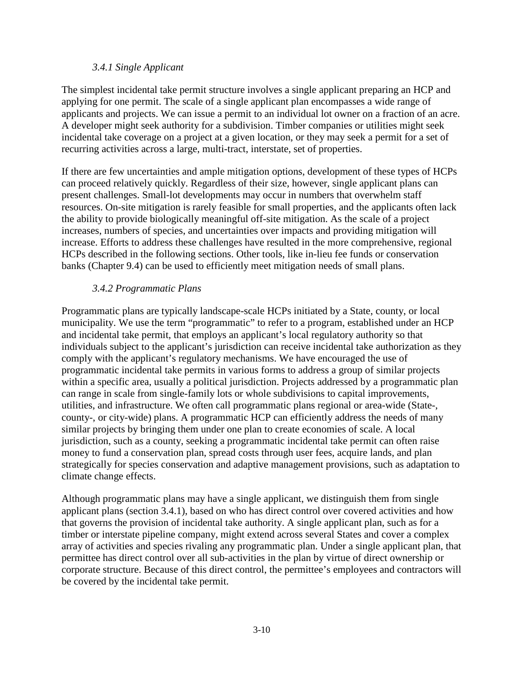#### *3.4.1 Single Applicant*

The simplest incidental take permit structure involves a single applicant preparing an HCP and applying for one permit. The scale of a single applicant plan encompasses a wide range of applicants and projects. We can issue a permit to an individual lot owner on a fraction of an acre. A developer might seek authority for a subdivision. Timber companies or utilities might seek incidental take coverage on a project at a given location, or they may seek a permit for a set of recurring activities across a large, multi-tract, interstate, set of properties.

If there are few uncertainties and ample mitigation options, development of these types of HCPs can proceed relatively quickly. Regardless of their size, however, single applicant plans can present challenges. Small-lot developments may occur in numbers that overwhelm staff resources. On-site mitigation is rarely feasible for small properties, and the applicants often lack the ability to provide biologically meaningful off-site mitigation. As the scale of a project increases, numbers of species, and uncertainties over impacts and providing mitigation will increase. Efforts to address these challenges have resulted in the more comprehensive, regional HCPs described in the following sections. Other tools, like in-lieu fee funds or conservation banks (Chapter 9.4) can be used to efficiently meet mitigation needs of small plans.

#### *3.4.2 Programmatic Plans*

Programmatic plans are typically landscape-scale HCPs initiated by a State, county, or local municipality. We use the term "programmatic" to refer to a program, established under an HCP and incidental take permit, that employs an applicant's local regulatory authority so that individuals subject to the applicant's jurisdiction can receive incidental take authorization as they comply with the applicant's regulatory mechanisms. We have encouraged the use of programmatic incidental take permits in various forms to address a group of similar projects within a specific area, usually a political jurisdiction. Projects addressed by a programmatic plan can range in scale from single-family lots or whole subdivisions to capital improvements, utilities, and infrastructure. We often call programmatic plans regional or area-wide (State-, county-, or city-wide) plans. A programmatic HCP can efficiently address the needs of many similar projects by bringing them under one plan to create economies of scale. A local jurisdiction, such as a county, seeking a programmatic incidental take permit can often raise money to fund a conservation plan, spread costs through user fees, acquire lands, and plan strategically for species conservation and adaptive management provisions, such as adaptation to climate change effects.

Although programmatic plans may have a single applicant, we distinguish them from single applicant plans (section 3.4.1), based on who has direct control over covered activities and how that governs the provision of incidental take authority. A single applicant plan, such as for a timber or interstate pipeline company, might extend across several States and cover a complex array of activities and species rivaling any programmatic plan. Under a single applicant plan, that permittee has direct control over all sub-activities in the plan by virtue of direct ownership or corporate structure. Because of this direct control, the permittee's employees and contractors will be covered by the incidental take permit.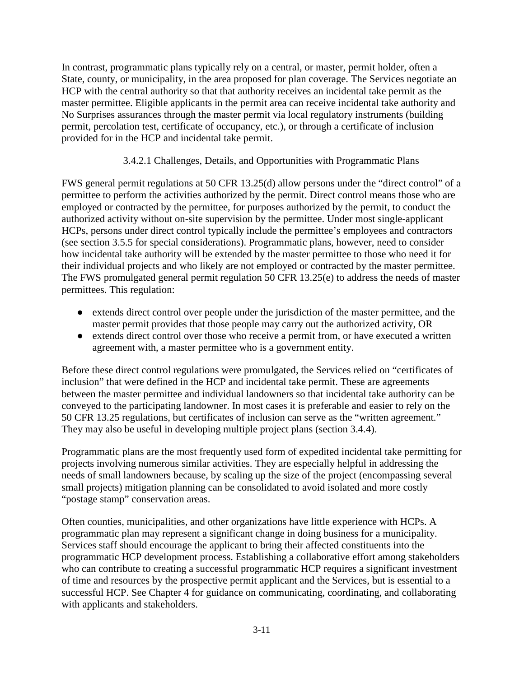In contrast, programmatic plans typically rely on a central, or master, permit holder, often a State, county, or municipality, in the area proposed for plan coverage. The Services negotiate an HCP with the central authority so that that authority receives an incidental take permit as the master permittee. Eligible applicants in the permit area can receive incidental take authority and No Surprises assurances through the master permit via local regulatory instruments (building permit, percolation test, certificate of occupancy, etc.), or through a certificate of inclusion provided for in the HCP and incidental take permit.

## 3.4.2.1 Challenges, Details, and Opportunities with Programmatic Plans

FWS general permit regulations at 50 CFR 13.25(d) allow persons under the "direct control" of a permittee to perform the activities authorized by the permit. Direct control means those who are employed or contracted by the permittee, for purposes authorized by the permit, to conduct the authorized activity without on-site supervision by the permittee. Under most single-applicant HCPs, persons under direct control typically include the permittee's employees and contractors (see section 3.5.5 for special considerations). Programmatic plans, however, need to consider how incidental take authority will be extended by the master permittee to those who need it for their individual projects and who likely are not employed or contracted by the master permittee. The FWS promulgated general permit regulation 50 CFR 13.25(e) to address the needs of master permittees. This regulation:

- extends direct control over people under the jurisdiction of the master permittee, and the master permit provides that those people may carry out the authorized activity, OR
- extends direct control over those who receive a permit from, or have executed a written agreement with, a master permittee who is a government entity.

Before these direct control regulations were promulgated, the Services relied on "certificates of inclusion" that were defined in the HCP and incidental take permit. These are agreements between the master permittee and individual landowners so that incidental take authority can be conveyed to the participating landowner. In most cases it is preferable and easier to rely on the 50 CFR 13.25 regulations, but certificates of inclusion can serve as the "written agreement." They may also be useful in developing multiple project plans (section 3.4.4).

Programmatic plans are the most frequently used form of expedited incidental take permitting for projects involving numerous similar activities. They are especially helpful in addressing the needs of small landowners because, by scaling up the size of the project (encompassing several small projects) mitigation planning can be consolidated to avoid isolated and more costly "postage stamp" conservation areas.

Often counties, municipalities, and other organizations have little experience with HCPs. A programmatic plan may represent a significant change in doing business for a municipality. Services staff should encourage the applicant to bring their affected constituents into the programmatic HCP development process. Establishing a collaborative effort among stakeholders who can contribute to creating a successful programmatic HCP requires a significant investment of time and resources by the prospective permit applicant and the Services, but is essential to a successful HCP. See Chapter 4 for guidance on communicating, coordinating, and collaborating with applicants and stakeholders.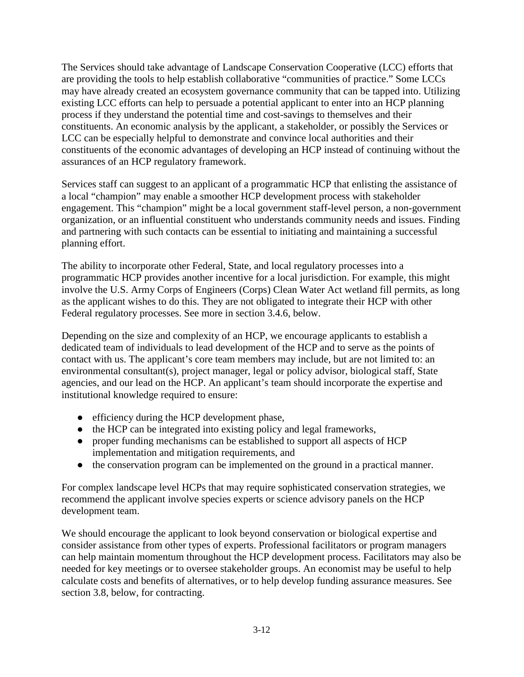The Services should take advantage of Landscape Conservation Cooperative (LCC) efforts that are providing the tools to help establish collaborative "communities of practice." Some LCCs may have already created an ecosystem governance community that can be tapped into. Utilizing existing LCC efforts can help to persuade a potential applicant to enter into an HCP planning process if they understand the potential time and cost-savings to themselves and their constituents. An economic analysis by the applicant, a stakeholder, or possibly the Services or LCC can be especially helpful to demonstrate and convince local authorities and their constituents of the economic advantages of developing an HCP instead of continuing without the assurances of an HCP regulatory framework.

Services staff can suggest to an applicant of a programmatic HCP that enlisting the assistance of a local "champion" may enable a smoother HCP development process with stakeholder engagement. This "champion" might be a local government staff-level person, a non-government organization, or an influential constituent who understands community needs and issues. Finding and partnering with such contacts can be essential to initiating and maintaining a successful planning effort.

The ability to incorporate other Federal, State, and local regulatory processes into a programmatic HCP provides another incentive for a local jurisdiction. For example, this might involve the U.S. Army Corps of Engineers (Corps) Clean Water Act wetland fill permits, as long as the applicant wishes to do this. They are not obligated to integrate their HCP with other Federal regulatory processes. See more in section 3.4.6, below.

Depending on the size and complexity of an HCP, we encourage applicants to establish a dedicated team of individuals to lead development of the HCP and to serve as the points of contact with us. The applicant's core team members may include, but are not limited to: an environmental consultant(s), project manager, legal or policy advisor, biological staff, State agencies, and our lead on the HCP. An applicant's team should incorporate the expertise and institutional knowledge required to ensure:

- efficiency during the HCP development phase,
- the HCP can be integrated into existing policy and legal frameworks,
- proper funding mechanisms can be established to support all aspects of HCP implementation and mitigation requirements, and
- the conservation program can be implemented on the ground in a practical manner.

For complex landscape level HCPs that may require sophisticated conservation strategies, we recommend the applicant involve species experts or science advisory panels on the HCP development team.

We should encourage the applicant to look beyond conservation or biological expertise and consider assistance from other types of experts. Professional facilitators or program managers can help maintain momentum throughout the HCP development process. Facilitators may also be needed for key meetings or to oversee stakeholder groups. An economist may be useful to help calculate costs and benefits of alternatives, or to help develop funding assurance measures. See section 3.8, below, for contracting.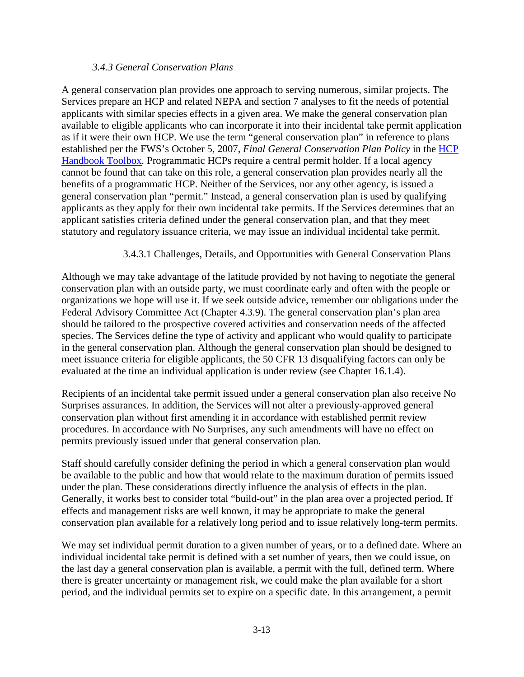#### *3.4.3 General Conservation Plans*

A general conservation plan provides one approach to serving numerous, similar projects. The Services prepare an HCP and related NEPA and section 7 analyses to fit the needs of potential applicants with similar species effects in a given area. We make the general conservation plan available to eligible applicants who can incorporate it into their incidental take permit application as if it were their own HCP. We use the term "general conservation plan" in reference to plans established per the FWS's October 5, 2007, *Final General Conservation Plan Policy* in the [HCP](https://www.fws.gov/endangered/what-we-do/hcp-handbook-toolbox.html#Ch3)  [Handbook](https://www.fws.gov/endangered/what-we-do/hcp-handbook-toolbox.html#Ch3) Toolbox*.* Programmatic HCPs require a central permit holder. If a local agency cannot be found that can take on this role, a general conservation plan provides nearly all the benefits of a programmatic HCP. Neither of the Services, nor any other agency, is issued a general conservation plan "permit." Instead, a general conservation plan is used by qualifying applicants as they apply for their own incidental take permits. If the Services determines that an applicant satisfies criteria defined under the general conservation plan, and that they meet statutory and regulatory issuance criteria, we may issue an individual incidental take permit.

#### 3.4.3.1 Challenges, Details, and Opportunities with General Conservation Plans

Although we may take advantage of the latitude provided by not having to negotiate the general conservation plan with an outside party, we must coordinate early and often with the people or organizations we hope will use it. If we seek outside advice, remember our obligations under the Federal Advisory Committee Act (Chapter 4.3.9). The general conservation plan's plan area should be tailored to the prospective covered activities and conservation needs of the affected species. The Services define the type of activity and applicant who would qualify to participate in the general conservation plan. Although the general conservation plan should be designed to meet issuance criteria for eligible applicants, the 50 CFR 13 disqualifying factors can only be evaluated at the time an individual application is under review (see Chapter 16.1.4).

Recipients of an incidental take permit issued under a general conservation plan also receive No Surprises assurances. In addition, the Services will not alter a previously-approved general conservation plan without first amending it in accordance with established permit review procedures. In accordance with No Surprises, any such amendments will have no effect on permits previously issued under that general conservation plan.

Staff should carefully consider defining the period in which a general conservation plan would be available to the public and how that would relate to the maximum duration of permits issued under the plan. These considerations directly influence the analysis of effects in the plan. Generally, it works best to consider total "build-out" in the plan area over a projected period. If effects and management risks are well known, it may be appropriate to make the general conservation plan available for a relatively long period and to issue relatively long-term permits.

We may set individual permit duration to a given number of years, or to a defined date. Where an individual incidental take permit is defined with a set number of years, then we could issue, on the last day a general conservation plan is available, a permit with the full, defined term. Where there is greater uncertainty or management risk, we could make the plan available for a short period, and the individual permits set to expire on a specific date. In this arrangement, a permit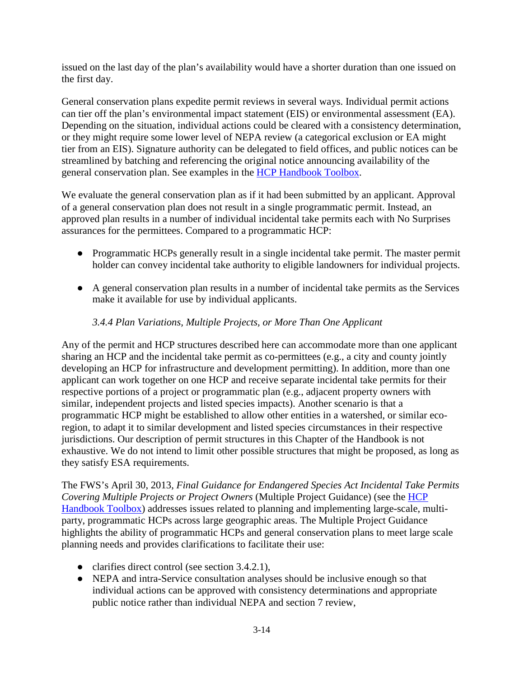issued on the last day of the plan's availability would have a shorter duration than one issued on the first day.

General conservation plans expedite permit reviews in several ways. Individual permit actions can tier off the plan's environmental impact statement (EIS) or environmental assessment (EA). Depending on the situation, individual actions could be cleared with a consistency determination, or they might require some lower level of NEPA review (a categorical exclusion or EA might tier from an EIS). Signature authority can be delegated to field offices, and public notices can be streamlined by batching and referencing the original notice announcing availability of the general conservation plan. See examples in the [HCP Handbook](https://www.fws.gov/endangered/what-we-do/hcp-handbook-toolbox.html#Ch3) Toolbox.

We evaluate the general conservation plan as if it had been submitted by an applicant. Approval of a general conservation plan does not result in a single programmatic permit. Instead, an approved plan results in a number of individual incidental take permits each with No Surprises assurances for the permittees. Compared to a programmatic HCP:

- Programmatic HCPs generally result in a single incidental take permit. The master permit holder can convey incidental take authority to eligible landowners for individual projects.
- A general conservation plan results in a number of incidental take permits as the Services make it available for use by individual applicants.

## *3.4.4 Plan Variations, Multiple Projects, or More Than One Applicant*

Any of the permit and HCP structures described here can accommodate more than one applicant sharing an HCP and the incidental take permit as co-permittees (e.g., a city and county jointly developing an HCP for infrastructure and development permitting). In addition, more than one applicant can work together on one HCP and receive separate incidental take permits for their respective portions of a project or programmatic plan (e.g., adjacent property owners with similar, independent projects and listed species impacts). Another scenario is that a programmatic HCP might be established to allow other entities in a watershed, or similar ecoregion, to adapt it to similar development and listed species circumstances in their respective jurisdictions. Our description of permit structures in this Chapter of the Handbook is not exhaustive. We do not intend to limit other possible structures that might be proposed, as long as they satisfy ESA requirements.

The FWS's April 30, 2013, *Final Guidance for Endangered Species Act Incidental Take Permits Covering Multiple Projects or Project Owners* (Multiple Project Guidance) (see the [HCP](https://www.fws.gov/endangered/what-we-do/hcp-handbook-toolbox.html#Ch3)  [Handbook Toolbox\)](https://www.fws.gov/endangered/what-we-do/hcp-handbook-toolbox.html#Ch3) addresses issues related to planning and implementing large-scale, multiparty, programmatic HCPs across large geographic areas. The Multiple Project Guidance highlights the ability of programmatic HCPs and general conservation plans to meet large scale planning needs and provides clarifications to facilitate their use:

- clarifies direct control (see section 3.4.2.1),
- NEPA and intra-Service consultation analyses should be inclusive enough so that individual actions can be approved with consistency determinations and appropriate public notice rather than individual NEPA and section 7 review,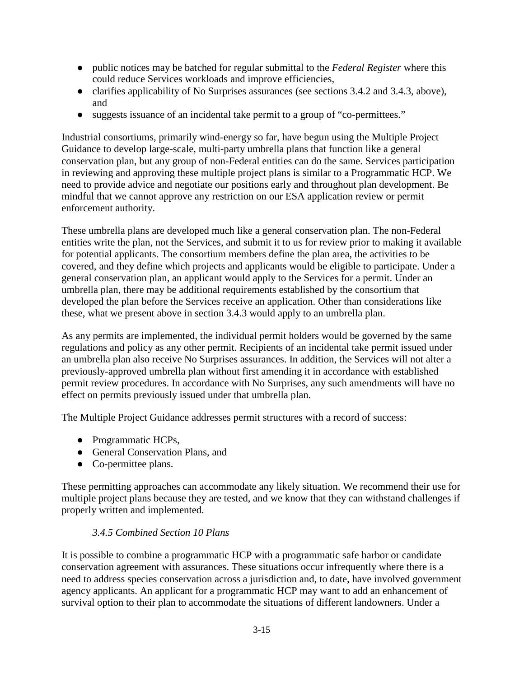- public notices may be batched for regular submittal to the *Federal Register* where this could reduce Services workloads and improve efficiencies,
- clarifies applicability of No Surprises assurances (see sections 3.4.2 and 3.4.3, above), and
- suggests issuance of an incidental take permit to a group of "co-permittees."

Industrial consortiums, primarily wind-energy so far, have begun using the Multiple Project Guidance to develop large-scale, multi-party umbrella plans that function like a general conservation plan, but any group of non-Federal entities can do the same. Services participation in reviewing and approving these multiple project plans is similar to a Programmatic HCP. We need to provide advice and negotiate our positions early and throughout plan development. Be mindful that we cannot approve any restriction on our ESA application review or permit enforcement authority.

These umbrella plans are developed much like a general conservation plan. The non-Federal entities write the plan, not the Services, and submit it to us for review prior to making it available for potential applicants. The consortium members define the plan area, the activities to be covered, and they define which projects and applicants would be eligible to participate. Under a general conservation plan, an applicant would apply to the Services for a permit. Under an umbrella plan, there may be additional requirements established by the consortium that developed the plan before the Services receive an application. Other than considerations like these, what we present above in section 3.4.3 would apply to an umbrella plan.

As any permits are implemented, the individual permit holders would be governed by the same regulations and policy as any other permit. Recipients of an incidental take permit issued under an umbrella plan also receive No Surprises assurances. In addition, the Services will not alter a previously-approved umbrella plan without first amending it in accordance with established permit review procedures. In accordance with No Surprises, any such amendments will have no effect on permits previously issued under that umbrella plan.

The Multiple Project Guidance addresses permit structures with a record of success:

- Programmatic HCPs,
- General Conservation Plans, and
- Co-permittee plans.

These permitting approaches can accommodate any likely situation. We recommend their use for multiple project plans because they are tested, and we know that they can withstand challenges if properly written and implemented.

## *3.4.5 Combined Section 10 Plans*

It is possible to combine a programmatic HCP with a programmatic safe harbor or candidate conservation agreement with assurances. These situations occur infrequently where there is a need to address species conservation across a jurisdiction and, to date, have involved government agency applicants. An applicant for a programmatic HCP may want to add an enhancement of survival option to their plan to accommodate the situations of different landowners. Under a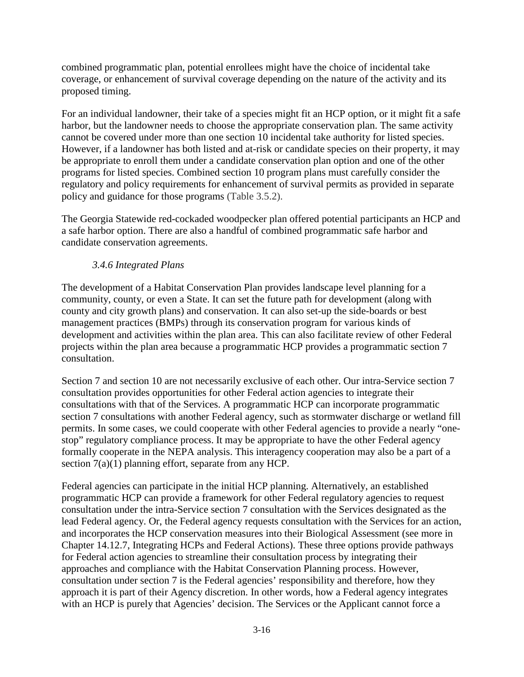combined programmatic plan, potential enrollees might have the choice of incidental take coverage, or enhancement of survival coverage depending on the nature of the activity and its proposed timing.

For an individual landowner, their take of a species might fit an HCP option, or it might fit a safe harbor, but the landowner needs to choose the appropriate conservation plan. The same activity cannot be covered under more than one section 10 incidental take authority for listed species. However, if a landowner has both listed and at-risk or candidate species on their property, it may be appropriate to enroll them under a candidate conservation plan option and one of the other programs for listed species. Combined section 10 program plans must carefully consider the regulatory and policy requirements for enhancement of survival permits as provided in separate policy and guidance for those programs (Table 3.5.2).

The Georgia Statewide red-cockaded woodpecker plan offered potential participants an HCP and a safe harbor option. There are also a handful of combined programmatic safe harbor and candidate conservation agreements.

# *3.4.6 Integrated Plans*

The development of a Habitat Conservation Plan provides landscape level planning for a community, county, or even a State. It can set the future path for development (along with county and city growth plans) and conservation. It can also set-up the side-boards or best management practices (BMPs) through its conservation program for various kinds of development and activities within the plan area. This can also facilitate review of other Federal projects within the plan area because a programmatic HCP provides a programmatic section 7 consultation.

Section 7 and section 10 are not necessarily exclusive of each other. Our intra-Service section 7 consultation provides opportunities for other Federal action agencies to integrate their consultations with that of the Services. A programmatic HCP can incorporate programmatic section 7 consultations with another Federal agency, such as stormwater discharge or wetland fill permits. In some cases, we could cooperate with other Federal agencies to provide a nearly "onestop" regulatory compliance process. It may be appropriate to have the other Federal agency formally cooperate in the NEPA analysis. This interagency cooperation may also be a part of a section 7(a)(1) planning effort, separate from any HCP.

Federal agencies can participate in the initial HCP planning. Alternatively, an established programmatic HCP can provide a framework for other Federal regulatory agencies to request consultation under the intra-Service section 7 consultation with the Services designated as the lead Federal agency. Or, the Federal agency requests consultation with the Services for an action, and incorporates the HCP conservation measures into their Biological Assessment (see more in Chapter 14.12.7, Integrating HCPs and Federal Actions). These three options provide pathways for Federal action agencies to streamline their consultation process by integrating their approaches and compliance with the Habitat Conservation Planning process. However, consultation under section 7 is the Federal agencies' responsibility and therefore, how they approach it is part of their Agency discretion. In other words, how a Federal agency integrates with an HCP is purely that Agencies' decision. The Services or the Applicant cannot force a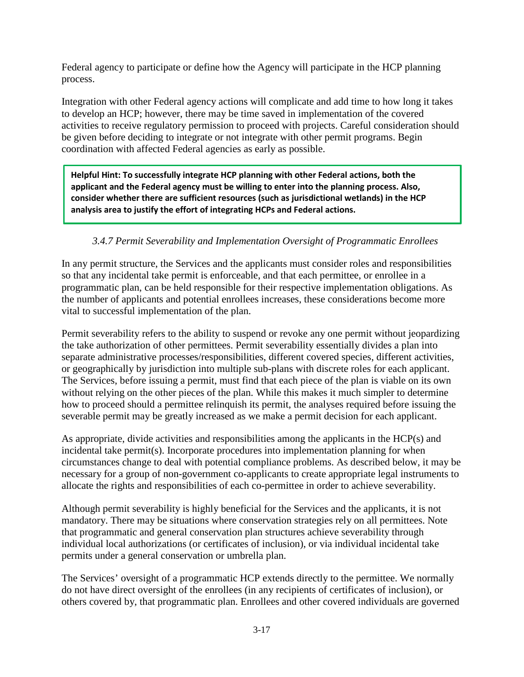Federal agency to participate or define how the Agency will participate in the HCP planning process.

Integration with other Federal agency actions will complicate and add time to how long it takes to develop an HCP; however, there may be time saved in implementation of the covered activities to receive regulatory permission to proceed with projects. Careful consideration should be given before deciding to integrate or not integrate with other permit programs. Begin coordination with affected Federal agencies as early as possible.

**Helpful Hint: To successfully integrate HCP planning with other Federal actions, both the applicant and the Federal agency must be willing to enter into the planning process. Also, consider whether there are sufficient resources (such as jurisdictional wetlands) in the HCP analysis area to justify the effort of integrating HCPs and Federal actions.**

# *3.4.7 Permit Severability and Implementation Oversight of Programmatic Enrollees*

In any permit structure, the Services and the applicants must consider roles and responsibilities so that any incidental take permit is enforceable, and that each permittee, or enrollee in a programmatic plan, can be held responsible for their respective implementation obligations. As the number of applicants and potential enrollees increases, these considerations become more vital to successful implementation of the plan.

Permit severability refers to the ability to suspend or revoke any one permit without jeopardizing the take authorization of other permittees. Permit severability essentially divides a plan into separate administrative processes/responsibilities, different covered species, different activities, or geographically by jurisdiction into multiple sub-plans with discrete roles for each applicant. The Services, before issuing a permit, must find that each piece of the plan is viable on its own without relying on the other pieces of the plan. While this makes it much simpler to determine how to proceed should a permittee relinquish its permit, the analyses required before issuing the severable permit may be greatly increased as we make a permit decision for each applicant.

As appropriate, divide activities and responsibilities among the applicants in the HCP(s) and incidental take permit(s). Incorporate procedures into implementation planning for when circumstances change to deal with potential compliance problems. As described below, it may be necessary for a group of non-government co-applicants to create appropriate legal instruments to allocate the rights and responsibilities of each co-permittee in order to achieve severability.

Although permit severability is highly beneficial for the Services and the applicants, it is not mandatory. There may be situations where conservation strategies rely on all permittees. Note that programmatic and general conservation plan structures achieve severability through individual local authorizations (or certificates of inclusion), or via individual incidental take permits under a general conservation or umbrella plan.

The Services' oversight of a programmatic HCP extends directly to the permittee. We normally do not have direct oversight of the enrollees (in any recipients of certificates of inclusion), or others covered by, that programmatic plan. Enrollees and other covered individuals are governed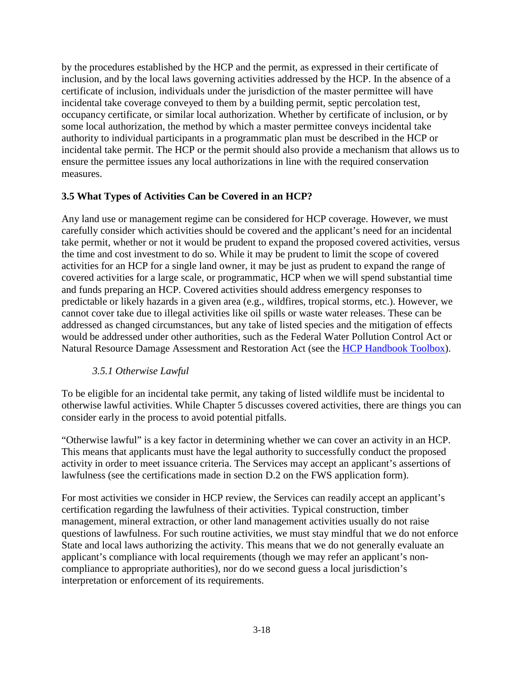by the procedures established by the HCP and the permit, as expressed in their certificate of inclusion, and by the local laws governing activities addressed by the HCP. In the absence of a certificate of inclusion, individuals under the jurisdiction of the master permittee will have incidental take coverage conveyed to them by a building permit, septic percolation test, occupancy certificate, or similar local authorization. Whether by certificate of inclusion, or by some local authorization, the method by which a master permittee conveys incidental take authority to individual participants in a programmatic plan must be described in the HCP or incidental take permit. The HCP or the permit should also provide a mechanism that allows us to ensure the permittee issues any local authorizations in line with the required conservation measures.

## **3.5 What Types of Activities Can be Covered in an HCP?**

Any land use or management regime can be considered for HCP coverage. However, we must carefully consider which activities should be covered and the applicant's need for an incidental take permit, whether or not it would be prudent to expand the proposed covered activities, versus the time and cost investment to do so. While it may be prudent to limit the scope of covered activities for an HCP for a single land owner, it may be just as prudent to expand the range of covered activities for a large scale, or programmatic, HCP when we will spend substantial time and funds preparing an HCP. Covered activities should address emergency responses to predictable or likely hazards in a given area (e.g., wildfires, tropical storms, etc.). However, we cannot cover take due to illegal activities like oil spills or waste water releases. These can be addressed as changed circumstances, but any take of listed species and the mitigation of effects would be addressed under other authorities, such as the Federal Water Pollution Control Act or Natural Resource Damage Assessment and Restoration Act (see the [HCP Handbook Toolbox\)](https://www.fws.gov/endangered/what-we-do/hcp-handbook-toolbox.html#Ch3).

## *3.5.1 Otherwise Lawful*

To be eligible for an incidental take permit, any taking of listed wildlife must be incidental to otherwise lawful activities. While Chapter 5 discusses covered activities, there are things you can consider early in the process to avoid potential pitfalls.

"Otherwise lawful" is a key factor in determining whether we can cover an activity in an HCP. This means that applicants must have the legal authority to successfully conduct the proposed activity in order to meet issuance criteria. The Services may accept an applicant's assertions of lawfulness (see the certifications made in section D.2 on the FWS application form).

For most activities we consider in HCP review, the Services can readily accept an applicant's certification regarding the lawfulness of their activities. Typical construction, timber management, mineral extraction, or other land management activities usually do not raise questions of lawfulness. For such routine activities, we must stay mindful that we do not enforce State and local laws authorizing the activity. This means that we do not generally evaluate an applicant's compliance with local requirements (though we may refer an applicant's noncompliance to appropriate authorities), nor do we second guess a local jurisdiction's interpretation or enforcement of its requirements.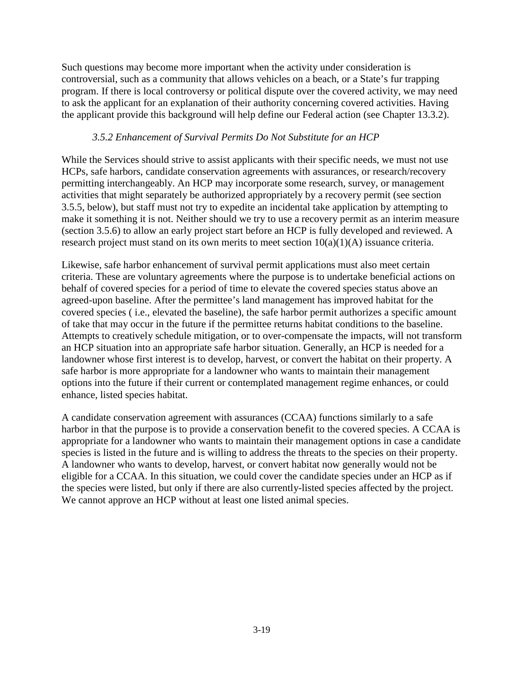Such questions may become more important when the activity under consideration is controversial, such as a community that allows vehicles on a beach, or a State's fur trapping program. If there is local controversy or political dispute over the covered activity, we may need to ask the applicant for an explanation of their authority concerning covered activities. Having the applicant provide this background will help define our Federal action (see Chapter 13.3.2).

## *3.5.2 Enhancement of Survival Permits Do Not Substitute for an HCP*

While the Services should strive to assist applicants with their specific needs, we must not use HCPs, safe harbors, candidate conservation agreements with assurances, or research/recovery permitting interchangeably. An HCP may incorporate some research, survey, or management activities that might separately be authorized appropriately by a recovery permit (see section 3.5.5, below), but staff must not try to expedite an incidental take application by attempting to make it something it is not. Neither should we try to use a recovery permit as an interim measure (section 3.5.6) to allow an early project start before an HCP is fully developed and reviewed. A research project must stand on its own merits to meet section  $10(a)(1)(A)$  issuance criteria.

Likewise, safe harbor enhancement of survival permit applications must also meet certain criteria. These are voluntary agreements where the purpose is to undertake beneficial actions on behalf of covered species for a period of time to elevate the covered species status above an agreed-upon baseline. After the permittee's land management has improved habitat for the covered species ( i.e., elevated the baseline), the safe harbor permit authorizes a specific amount of take that may occur in the future if the permittee returns habitat conditions to the baseline. Attempts to creatively schedule mitigation, or to over-compensate the impacts, will not transform an HCP situation into an appropriate safe harbor situation. Generally, an HCP is needed for a landowner whose first interest is to develop, harvest, or convert the habitat on their property. A safe harbor is more appropriate for a landowner who wants to maintain their management options into the future if their current or contemplated management regime enhances, or could enhance, listed species habitat.

A candidate conservation agreement with assurances (CCAA) functions similarly to a safe harbor in that the purpose is to provide a conservation benefit to the covered species. A CCAA is appropriate for a landowner who wants to maintain their management options in case a candidate species is listed in the future and is willing to address the threats to the species on their property. A landowner who wants to develop, harvest, or convert habitat now generally would not be eligible for a CCAA. In this situation, we could cover the candidate species under an HCP as if the species were listed, but only if there are also currently-listed species affected by the project. We cannot approve an HCP without at least one listed animal species.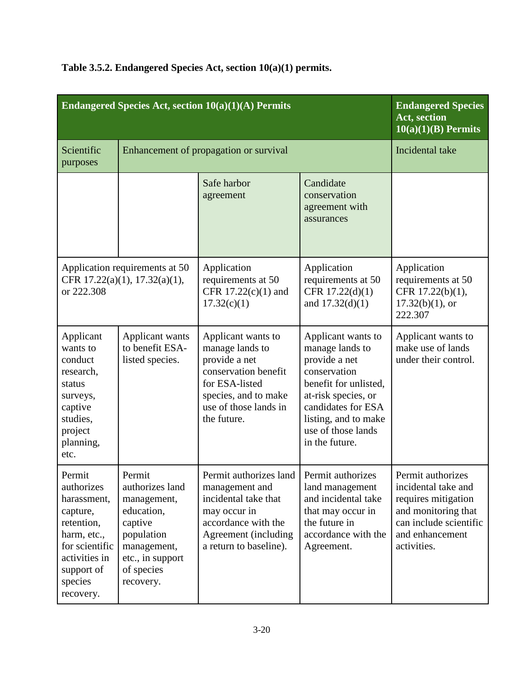| Endangered Species Act, section 10(a)(1)(A) Permits                                                                                                   |                                                                                                                                               |                                                                                                                                                                               |                                                                                                                                                                                                              | <b>Endangered Species</b><br>Act, section<br>$10(a)(1)(B)$ Permits                                                                                 |
|-------------------------------------------------------------------------------------------------------------------------------------------------------|-----------------------------------------------------------------------------------------------------------------------------------------------|-------------------------------------------------------------------------------------------------------------------------------------------------------------------------------|--------------------------------------------------------------------------------------------------------------------------------------------------------------------------------------------------------------|----------------------------------------------------------------------------------------------------------------------------------------------------|
| Scientific<br>purposes                                                                                                                                | Enhancement of propagation or survival                                                                                                        |                                                                                                                                                                               |                                                                                                                                                                                                              | Incidental take                                                                                                                                    |
|                                                                                                                                                       |                                                                                                                                               | Safe harbor<br>agreement                                                                                                                                                      | Candidate<br>conservation<br>agreement with<br>assurances                                                                                                                                                    |                                                                                                                                                    |
| or 222.308                                                                                                                                            | Application requirements at 50<br>CFR 17.22(a)(1), 17.32(a)(1),                                                                               | Application<br>requirements at 50<br>CFR $17.22(c)(1)$ and<br>17.32(c)(1)                                                                                                     | Application<br>requirements at 50<br>CFR 17.22(d)(1)<br>and $17.32(d)(1)$                                                                                                                                    | Application<br>requirements at 50<br>CFR 17.22(b)(1),<br>$17.32(b)(1)$ , or<br>222.307                                                             |
| Applicant<br>wants to<br>conduct<br>research,<br>status<br>surveys,<br>captive<br>studies,<br>project<br>planning,<br>etc.                            | Applicant wants<br>to benefit ESA-<br>listed species.                                                                                         | Applicant wants to<br>manage lands to<br>provide a net<br>conservation benefit<br>for ESA-listed<br>species, and to make<br>use of those lands in<br>the future.              | Applicant wants to<br>manage lands to<br>provide a net<br>conservation<br>benefit for unlisted,<br>at-risk species, or<br>candidates for ESA<br>listing, and to make<br>use of those lands<br>in the future. | Applicant wants to<br>make use of lands<br>under their control.                                                                                    |
| Permit<br>authorizes<br>harassment,<br>capture,<br>retention,<br>harm, etc.,<br>for scientific<br>activities in<br>support of<br>species<br>recovery. | Permit<br>authorizes land<br>management,<br>education,<br>captive<br>population<br>management,<br>etc., in support<br>of species<br>recovery. | Permit authorizes land   Permit authorizes<br>management and<br>incidental take that<br>may occur in<br>accordance with the<br>Agreement (including<br>a return to baseline). | land management<br>and incidental take<br>that may occur in<br>the future in<br>accordance with the<br>Agreement.                                                                                            | Permit authorizes<br>incidental take and<br>requires mitigation<br>and monitoring that<br>can include scientific<br>and enhancement<br>activities. |

# **Table 3.5.2. Endangered Species Act, section 10(a)(1) permits.**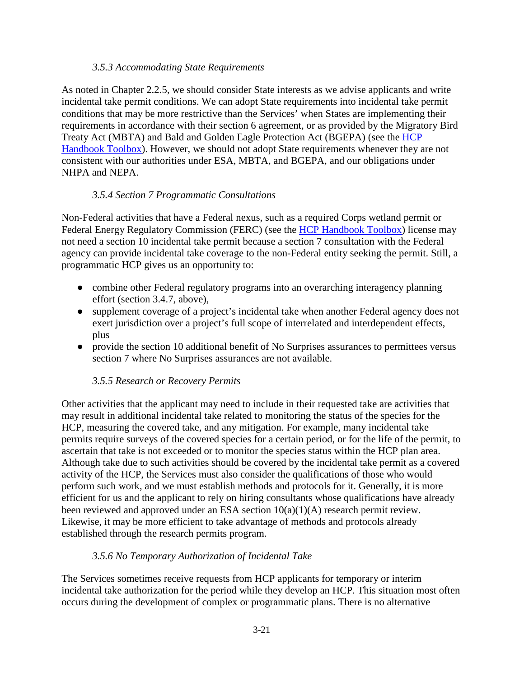#### *3.5.3 Accommodating State Requirements*

As noted in Chapter 2.2.5, we should consider State interests as we advise applicants and write incidental take permit conditions. We can adopt State requirements into incidental take permit conditions that may be more restrictive than the Services' when States are implementing their requirements in accordance with their section 6 agreement, or as provided by the Migratory Bird Treaty Act (MBTA) and Bald and Golden Eagle Protection Act (BGEPA) (see the [HCP](https://www.fws.gov/endangered/what-we-do/hcp-handbook-toolbox.html#Ch3)  [Handbook Toolbox\)](https://www.fws.gov/endangered/what-we-do/hcp-handbook-toolbox.html#Ch3). However, we should not adopt State requirements whenever they are not consistent with our authorities under ESA, MBTA, and BGEPA, and our obligations under NHPA and NEPA.

## *3.5.4 Section 7 Programmatic Consultations*

Non-Federal activities that have a Federal nexus, such as a required Corps wetland permit or Federal Energy Regulatory Commission (FERC) (see the [HCP Handbook Toolbox\)](https://www.fws.gov/endangered/what-we-do/hcp-handbook-toolbox.html#Ch3) license may not need a section 10 incidental take permit because a section 7 consultation with the Federal agency can provide incidental take coverage to the non-Federal entity seeking the permit. Still, a programmatic HCP gives us an opportunity to:

- combine other Federal regulatory programs into an overarching interagency planning effort (section 3.4.7, above),
- supplement coverage of a project's incidental take when another Federal agency does not exert jurisdiction over a project's full scope of interrelated and interdependent effects, plus
- provide the section 10 additional benefit of No Surprises assurances to permittees versus section 7 where No Surprises assurances are not available.

## *3.5.5 Research or Recovery Permits*

Other activities that the applicant may need to include in their requested take are activities that may result in additional incidental take related to monitoring the status of the species for the HCP, measuring the covered take, and any mitigation. For example, many incidental take permits require surveys of the covered species for a certain period, or for the life of the permit, to ascertain that take is not exceeded or to monitor the species status within the HCP plan area. Although take due to such activities should be covered by the incidental take permit as a covered activity of the HCP, the Services must also consider the qualifications of those who would perform such work, and we must establish methods and protocols for it. Generally, it is more efficient for us and the applicant to rely on hiring consultants whose qualifications have already been reviewed and approved under an ESA section 10(a)(1)(A) research permit review. Likewise, it may be more efficient to take advantage of methods and protocols already established through the research permits program.

## *3.5.6 No Temporary Authorization of Incidental Take*

The Services sometimes receive requests from HCP applicants for temporary or interim incidental take authorization for the period while they develop an HCP. This situation most often occurs during the development of complex or programmatic plans. There is no alternative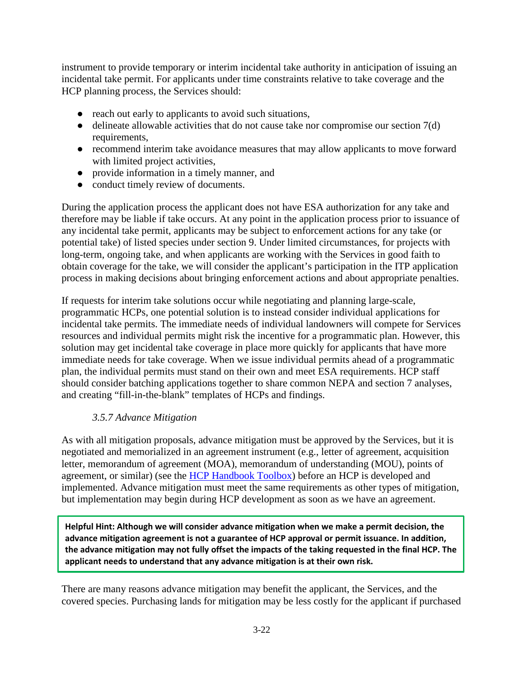instrument to provide temporary or interim incidental take authority in anticipation of issuing an incidental take permit. For applicants under time constraints relative to take coverage and the HCP planning process, the Services should:

- reach out early to applicants to avoid such situations,
- $\bullet$  delineate allowable activities that do not cause take nor compromise our section  $7(d)$ requirements,
- recommend interim take avoidance measures that may allow applicants to move forward with limited project activities,
- provide information in a timely manner, and
- conduct timely review of documents.

During the application process the applicant does not have ESA authorization for any take and therefore may be liable if take occurs. At any point in the application process prior to issuance of any incidental take permit, applicants may be subject to enforcement actions for any take (or potential take) of listed species under section 9. Under limited circumstances, for projects with long-term, ongoing take, and when applicants are working with the Services in good faith to obtain coverage for the take, we will consider the applicant's participation in the ITP application process in making decisions about bringing enforcement actions and about appropriate penalties.

If requests for interim take solutions occur while negotiating and planning large-scale, programmatic HCPs, one potential solution is to instead consider individual applications for incidental take permits. The immediate needs of individual landowners will compete for Services resources and individual permits might risk the incentive for a programmatic plan. However, this solution may get incidental take coverage in place more quickly for applicants that have more immediate needs for take coverage. When we issue individual permits ahead of a programmatic plan, the individual permits must stand on their own and meet ESA requirements. HCP staff should consider batching applications together to share common NEPA and section 7 analyses, and creating "fill-in-the-blank" templates of HCPs and findings.

## *3.5.7 Advance Mitigation*

As with all mitigation proposals, advance mitigation must be approved by the Services, but it is negotiated and memorialized in an agreement instrument (e.g., letter of agreement, acquisition letter, memorandum of agreement (MOA), memorandum of understanding (MOU), points of agreement, or similar) (see the [HCP Handbook Toolbox\)](https://www.fws.gov/endangered/what-we-do/hcp-handbook-toolbox.html#Ch3) before an HCP is developed and implemented. Advance mitigation must meet the same requirements as other types of mitigation, but implementation may begin during HCP development as soon as we have an agreement.

**Helpful Hint: Although we will consider advance mitigation when we make a permit decision, the advance mitigation agreement is not a guarantee of HCP approval or permit issuance. In addition, the advance mitigation may not fully offset the impacts of the taking requested in the final HCP. The applicant needs to understand that any advance mitigation is at their own risk.**

There are many reasons advance mitigation may benefit the applicant, the Services, and the covered species. Purchasing lands for mitigation may be less costly for the applicant if purchased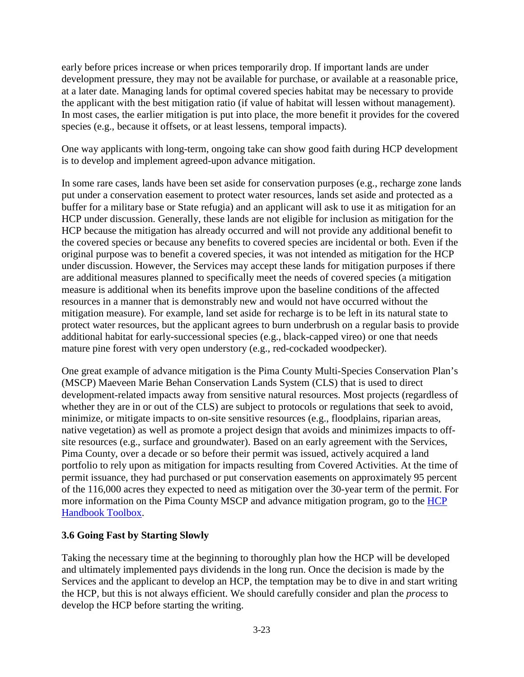early before prices increase or when prices temporarily drop. If important lands are under development pressure, they may not be available for purchase, or available at a reasonable price, at a later date. Managing lands for optimal covered species habitat may be necessary to provide the applicant with the best mitigation ratio (if value of habitat will lessen without management). In most cases, the earlier mitigation is put into place, the more benefit it provides for the covered species (e.g., because it offsets, or at least lessens, temporal impacts).

One way applicants with long-term, ongoing take can show good faith during HCP development is to develop and implement agreed-upon advance mitigation.

In some rare cases, lands have been set aside for conservation purposes (e.g., recharge zone lands put under a conservation easement to protect water resources, lands set aside and protected as a buffer for a military base or State refugia) and an applicant will ask to use it as mitigation for an HCP under discussion. Generally, these lands are not eligible for inclusion as mitigation for the HCP because the mitigation has already occurred and will not provide any additional benefit to the covered species or because any benefits to covered species are incidental or both. Even if the original purpose was to benefit a covered species, it was not intended as mitigation for the HCP under discussion. However, the Services may accept these lands for mitigation purposes if there are additional measures planned to specifically meet the needs of covered species (a mitigation measure is additional when its benefits improve upon the baseline conditions of the affected resources in a manner that is demonstrably new and would not have occurred without the mitigation measure). For example, land set aside for recharge is to be left in its natural state to protect water resources, but the applicant agrees to burn underbrush on a regular basis to provide additional habitat for early-successional species (e.g., black-capped vireo) or one that needs mature pine forest with very open understory (e.g., red-cockaded woodpecker).

One great example of advance mitigation is the Pima County Multi-Species Conservation Plan's (MSCP) Maeveen Marie Behan Conservation Lands System (CLS) that is used to direct development-related impacts away from sensitive natural resources. Most projects (regardless of whether they are in or out of the CLS) are subject to protocols or regulations that seek to avoid, minimize, or mitigate impacts to on-site sensitive resources (e.g., floodplains, riparian areas, native vegetation) as well as promote a project design that avoids and minimizes impacts to offsite resources (e.g., surface and groundwater). Based on an early agreement with the Services, Pima County, over a decade or so before their permit was issued, actively acquired a land portfolio to rely upon as mitigation for impacts resulting from Covered Activities. At the time of permit issuance, they had purchased or put conservation easements on approximately 95 percent of the 116,000 acres they expected to need as mitigation over the 30-year term of the permit. For more information on the Pima County MSCP and advance mitigation program, go to the [HCP](https://www.fws.gov/endangered/what-we-do/hcp-handbook-toolbox.html#Ch3)  [Handbook Toolbox.](https://www.fws.gov/endangered/what-we-do/hcp-handbook-toolbox.html#Ch3)

## **3.6 Going Fast by Starting Slowly**

Taking the necessary time at the beginning to thoroughly plan how the HCP will be developed and ultimately implemented pays dividends in the long run. Once the decision is made by the Services and the applicant to develop an HCP, the temptation may be to dive in and start writing the HCP, but this is not always efficient. We should carefully consider and plan the *process* to develop the HCP before starting the writing.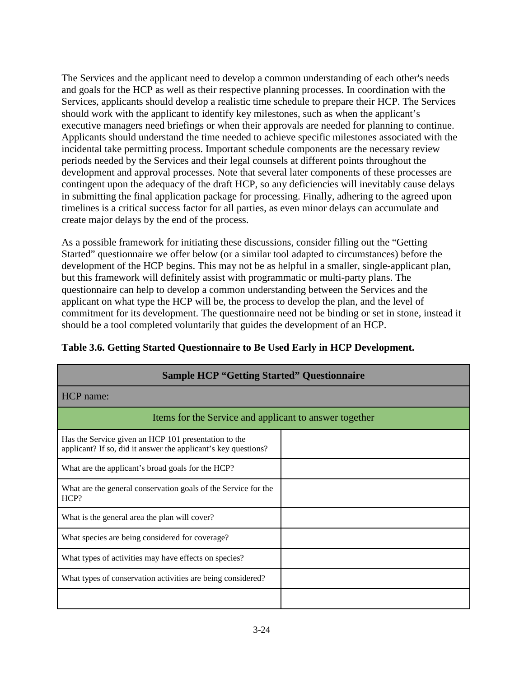The Services and the applicant need to develop a common understanding of each other's needs and goals for the HCP as well as their respective planning processes. In coordination with the Services, applicants should develop a realistic time schedule to prepare their HCP. The Services should work with the applicant to identify key milestones, such as when the applicant's executive managers need briefings or when their approvals are needed for planning to continue. Applicants should understand the time needed to achieve specific milestones associated with the incidental take permitting process. Important schedule components are the necessary review periods needed by the Services and their legal counsels at different points throughout the development and approval processes. Note that several later components of these processes are contingent upon the adequacy of the draft HCP, so any deficiencies will inevitably cause delays in submitting the final application package for processing. Finally, adhering to the agreed upon timelines is a critical success factor for all parties, as even minor delays can accumulate and create major delays by the end of the process.

As a possible framework for initiating these discussions, consider filling out the "Getting Started" questionnaire we offer below (or a similar tool adapted to circumstances) before the development of the HCP begins. This may not be as helpful in a smaller, single-applicant plan, but this framework will definitely assist with programmatic or multi-party plans. The questionnaire can help to develop a common understanding between the Services and the applicant on what type the HCP will be, the process to develop the plan, and the level of commitment for its development. The questionnaire need not be binding or set in stone, instead it should be a tool completed voluntarily that guides the development of an HCP.

| <b>Sample HCP "Getting Started" Questionnaire</b>                                                                      |  |  |  |
|------------------------------------------------------------------------------------------------------------------------|--|--|--|
| HCP name:                                                                                                              |  |  |  |
| Items for the Service and applicant to answer together                                                                 |  |  |  |
| Has the Service given an HCP 101 presentation to the<br>applicant? If so, did it answer the applicant's key questions? |  |  |  |
| What are the applicant's broad goals for the HCP?                                                                      |  |  |  |
| What are the general conservation goals of the Service for the<br>HCP?                                                 |  |  |  |
| What is the general area the plan will cover?                                                                          |  |  |  |
| What species are being considered for coverage?                                                                        |  |  |  |
| What types of activities may have effects on species?                                                                  |  |  |  |
| What types of conservation activities are being considered?                                                            |  |  |  |
|                                                                                                                        |  |  |  |

# **Table 3.6. Getting Started Questionnaire to Be Used Early in HCP Development.**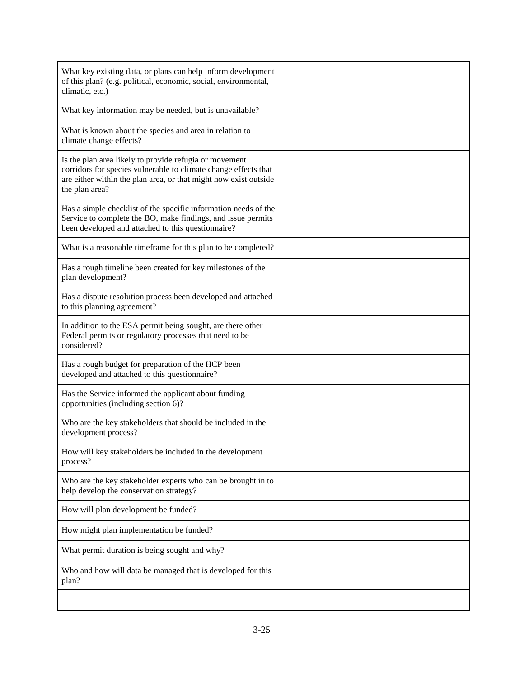| What key existing data, or plans can help inform development<br>of this plan? (e.g. political, economic, social, environmental,<br>climatic, etc.)                                                              |  |
|-----------------------------------------------------------------------------------------------------------------------------------------------------------------------------------------------------------------|--|
| What key information may be needed, but is unavailable?                                                                                                                                                         |  |
| What is known about the species and area in relation to<br>climate change effects?                                                                                                                              |  |
| Is the plan area likely to provide refugia or movement<br>corridors for species vulnerable to climate change effects that<br>are either within the plan area, or that might now exist outside<br>the plan area? |  |
| Has a simple checklist of the specific information needs of the<br>Service to complete the BO, make findings, and issue permits<br>been developed and attached to this questionnaire?                           |  |
| What is a reasonable timeframe for this plan to be completed?                                                                                                                                                   |  |
| Has a rough timeline been created for key milestones of the<br>plan development?                                                                                                                                |  |
| Has a dispute resolution process been developed and attached<br>to this planning agreement?                                                                                                                     |  |
| In addition to the ESA permit being sought, are there other<br>Federal permits or regulatory processes that need to be<br>considered?                                                                           |  |
| Has a rough budget for preparation of the HCP been<br>developed and attached to this questionnaire?                                                                                                             |  |
| Has the Service informed the applicant about funding<br>opportunities (including section 6)?                                                                                                                    |  |
| Who are the key stakeholders that should be included in the<br>development process?                                                                                                                             |  |
| How will key stakeholders be included in the development<br>process?                                                                                                                                            |  |
| Who are the key stakeholder experts who can be brought in to<br>help develop the conservation strategy?                                                                                                         |  |
| How will plan development be funded?                                                                                                                                                                            |  |
| How might plan implementation be funded?                                                                                                                                                                        |  |
| What permit duration is being sought and why?                                                                                                                                                                   |  |
| Who and how will data be managed that is developed for this<br>plan?                                                                                                                                            |  |
|                                                                                                                                                                                                                 |  |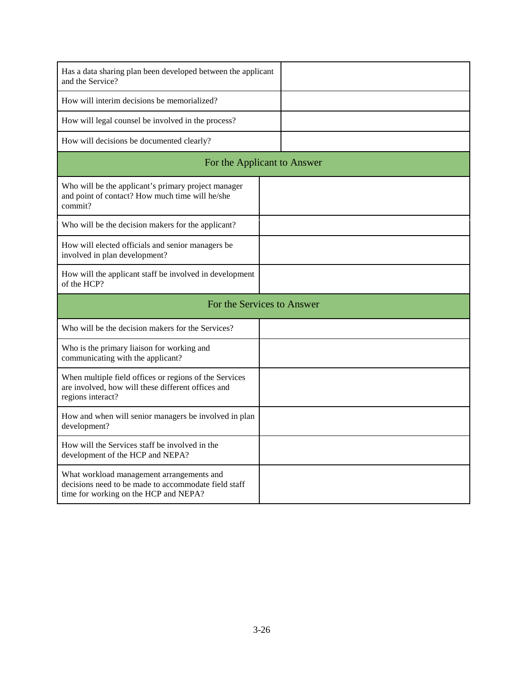| Has a data sharing plan been developed between the applicant<br>and the Service?                                                           |  |  |  |
|--------------------------------------------------------------------------------------------------------------------------------------------|--|--|--|
| How will interim decisions be memorialized?                                                                                                |  |  |  |
| How will legal counsel be involved in the process?                                                                                         |  |  |  |
| How will decisions be documented clearly?                                                                                                  |  |  |  |
| For the Applicant to Answer                                                                                                                |  |  |  |
| Who will be the applicant's primary project manager<br>and point of contact? How much time will he/she<br>commit?                          |  |  |  |
| Who will be the decision makers for the applicant?                                                                                         |  |  |  |
| How will elected officials and senior managers be<br>involved in plan development?                                                         |  |  |  |
| How will the applicant staff be involved in development<br>of the HCP?                                                                     |  |  |  |
| For the Services to Answer                                                                                                                 |  |  |  |
| Who will be the decision makers for the Services?                                                                                          |  |  |  |
| Who is the primary liaison for working and<br>communicating with the applicant?                                                            |  |  |  |
| When multiple field offices or regions of the Services<br>are involved, how will these different offices and<br>regions interact?          |  |  |  |
| How and when will senior managers be involved in plan<br>development?                                                                      |  |  |  |
| How will the Services staff be involved in the<br>development of the HCP and NEPA?                                                         |  |  |  |
| What workload management arrangements and<br>decisions need to be made to accommodate field staff<br>time for working on the HCP and NEPA? |  |  |  |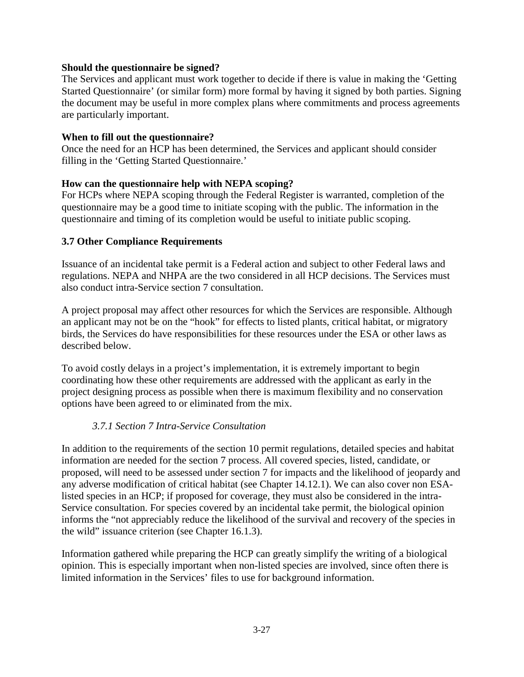#### **Should the questionnaire be signed?**

The Services and applicant must work together to decide if there is value in making the 'Getting Started Questionnaire' (or similar form) more formal by having it signed by both parties. Signing the document may be useful in more complex plans where commitments and process agreements are particularly important.

#### **When to fill out the questionnaire?**

Once the need for an HCP has been determined, the Services and applicant should consider filling in the 'Getting Started Questionnaire.'

#### **How can the questionnaire help with NEPA scoping?**

For HCPs where NEPA scoping through the Federal Register is warranted, completion of the questionnaire may be a good time to initiate scoping with the public. The information in the questionnaire and timing of its completion would be useful to initiate public scoping.

## **3.7 Other Compliance Requirements**

Issuance of an incidental take permit is a Federal action and subject to other Federal laws and regulations. NEPA and NHPA are the two considered in all HCP decisions. The Services must also conduct intra-Service section 7 consultation.

A project proposal may affect other resources for which the Services are responsible. Although an applicant may not be on the "hook" for effects to listed plants, critical habitat, or migratory birds, the Services do have responsibilities for these resources under the ESA or other laws as described below.

To avoid costly delays in a project's implementation, it is extremely important to begin coordinating how these other requirements are addressed with the applicant as early in the project designing process as possible when there is maximum flexibility and no conservation options have been agreed to or eliminated from the mix.

## *3.7.1 Section 7 Intra-Service Consultation*

In addition to the requirements of the section 10 permit regulations, detailed species and habitat information are needed for the section 7 process. All covered species, listed, candidate, or proposed, will need to be assessed under section 7 for impacts and the likelihood of jeopardy and any adverse modification of critical habitat (see Chapter 14.12.1). We can also cover non ESAlisted species in an HCP; if proposed for coverage, they must also be considered in the intra-Service consultation. For species covered by an incidental take permit, the biological opinion informs the "not appreciably reduce the likelihood of the survival and recovery of the species in the wild" issuance criterion (see Chapter 16.1.3).

Information gathered while preparing the HCP can greatly simplify the writing of a biological opinion. This is especially important when non-listed species are involved, since often there is limited information in the Services' files to use for background information.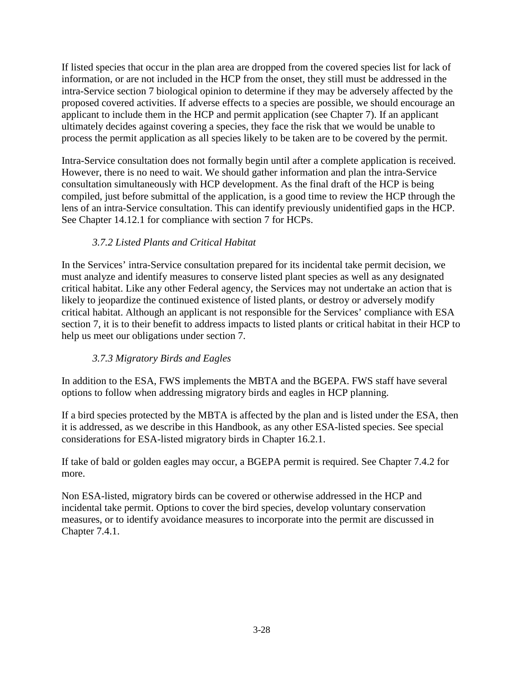If listed species that occur in the plan area are dropped from the covered species list for lack of information, or are not included in the HCP from the onset, they still must be addressed in the intra-Service section 7 biological opinion to determine if they may be adversely affected by the proposed covered activities. If adverse effects to a species are possible, we should encourage an applicant to include them in the HCP and permit application (see Chapter 7). If an applicant ultimately decides against covering a species, they face the risk that we would be unable to process the permit application as all species likely to be taken are to be covered by the permit.

Intra-Service consultation does not formally begin until after a complete application is received. However, there is no need to wait. We should gather information and plan the intra-Service consultation simultaneously with HCP development. As the final draft of the HCP is being compiled, just before submittal of the application, is a good time to review the HCP through the lens of an intra-Service consultation. This can identify previously unidentified gaps in the HCP. See Chapter 14.12.1 for compliance with section 7 for HCPs.

# *3.7.2 Listed Plants and Critical Habitat*

In the Services' intra-Service consultation prepared for its incidental take permit decision, we must analyze and identify measures to conserve listed plant species as well as any designated critical habitat. Like any other Federal agency, the Services may not undertake an action that is likely to jeopardize the continued existence of listed plants, or destroy or adversely modify critical habitat. Although an applicant is not responsible for the Services' compliance with ESA section 7, it is to their benefit to address impacts to listed plants or critical habitat in their HCP to help us meet our obligations under section 7.

# *3.7.3 Migratory Birds and Eagles*

In addition to the ESA, FWS implements the MBTA and the BGEPA. FWS staff have several options to follow when addressing migratory birds and eagles in HCP planning.

If a bird species protected by the MBTA is affected by the plan and is listed under the ESA, then it is addressed, as we describe in this Handbook, as any other ESA-listed species. See special considerations for ESA-listed migratory birds in Chapter 16.2.1.

If take of bald or golden eagles may occur, a BGEPA permit is required. See Chapter 7.4.2 for more.

Non ESA-listed, migratory birds can be covered or otherwise addressed in the HCP and incidental take permit. Options to cover the bird species, develop voluntary conservation measures, or to identify avoidance measures to incorporate into the permit are discussed in Chapter 7.4.1.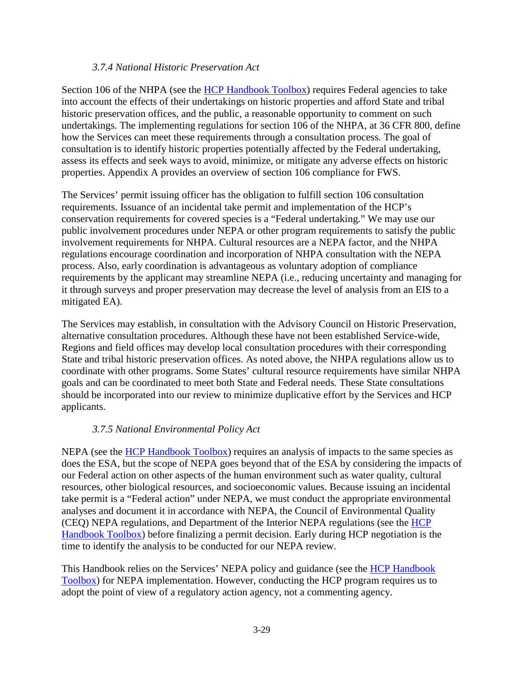#### *3.7.4 National Historic Preservation Act*

Section 106 of the NHPA (see the [HCP Handbook Toolbox\)](https://www.fws.gov/endangered/what-we-do/hcp-handbook-toolbox.html#Ch3) requires Federal agencies to take into account the effects of their undertakings on historic properties and afford State and tribal historic preservation offices, and the public, a reasonable opportunity to comment on such undertakings. The implementing regulations for section 106 of the NHPA, at 36 CFR 800, define how the Services can meet these requirements through a consultation process. The goal of consultation is to identify historic properties potentially affected by the Federal undertaking, assess its effects and seek ways to avoid, minimize, or mitigate any adverse effects on historic properties. Appendix A provides an overview of section 106 compliance for FWS.

The Services' permit issuing officer has the obligation to fulfill section 106 consultation requirements. Issuance of an incidental take permit and implementation of the HCP's conservation requirements for covered species is a "Federal undertaking." We may use our public involvement procedures under NEPA or other program requirements to satisfy the public involvement requirements for NHPA. Cultural resources are a NEPA factor, and the NHPA regulations encourage coordination and incorporation of NHPA consultation with the NEPA process. Also, early coordination is advantageous as voluntary adoption of compliance requirements by the applicant may streamline NEPA (i.e., reducing uncertainty and managing for it through surveys and proper preservation may decrease the level of analysis from an EIS to a mitigated EA).

The Services may establish, in consultation with the Advisory Council on Historic Preservation, alternative consultation procedures. Although these have not been established Service-wide, Regions and field offices may develop local consultation procedures with their corresponding State and tribal historic preservation offices. As noted above, the NHPA regulations allow us to coordinate with other programs. Some States' cultural resource requirements have similar NHPA goals and can be coordinated to meet both State and Federal needs. These State consultations should be incorporated into our review to minimize duplicative effort by the Services and HCP applicants.

## *3.7.5 National Environmental Policy Act*

NEPA (see the [HCP Handbook Toolbox\)](https://www.fws.gov/endangered/what-we-do/hcp-handbook-toolbox.html#Ch3) requires an analysis of impacts to the same species as does the ESA, but the scope of NEPA goes beyond that of the ESA by considering the impacts of our Federal action on other aspects of the human environment such as water quality, cultural resources, other biological resources, and socioeconomic values. Because issuing an incidental take permit is a "Federal action" under NEPA, we must conduct the appropriate environmental analyses and document it in accordance with NEPA, the Council of Environmental Quality (CEQ) NEPA regulations, and Department of the Interior NEPA regulations (see the [HCP](https://www.fws.gov/endangered/what-we-do/hcp-handbook-toolbox.html#Ch3)  [Handbook Toolbox\)](https://www.fws.gov/endangered/what-we-do/hcp-handbook-toolbox.html#Ch3) before finalizing a permit decision. Early during HCP negotiation is the time to identify the analysis to be conducted for our NEPA review.

This Handbook relies on the Services' NEPA policy and guidance (see the [HCP Handbook](https://www.fws.gov/endangered/what-we-do/hcp-handbook-toolbox.html#Ch3)  [Toolbox\)](https://www.fws.gov/endangered/what-we-do/hcp-handbook-toolbox.html#Ch3) for NEPA implementation. However, conducting the HCP program requires us to adopt the point of view of a regulatory action agency, not a commenting agency.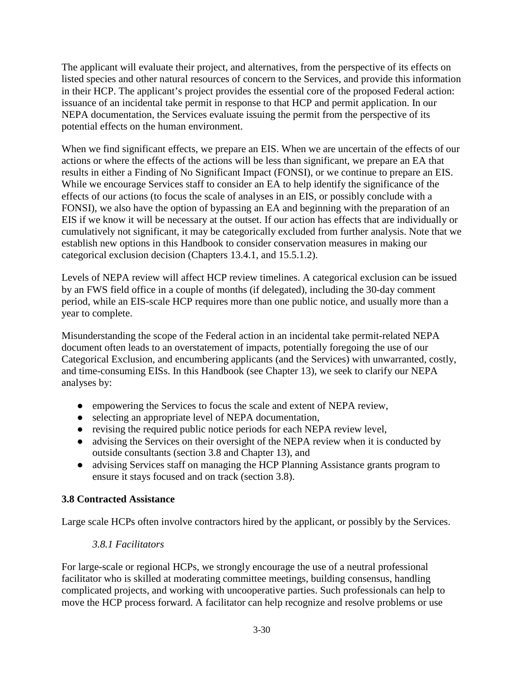The applicant will evaluate their project, and alternatives, from the perspective of its effects on listed species and other natural resources of concern to the Services, and provide this information in their HCP. The applicant's project provides the essential core of the proposed Federal action: issuance of an incidental take permit in response to that HCP and permit application. In our NEPA documentation, the Services evaluate issuing the permit from the perspective of its potential effects on the human environment.

When we find significant effects, we prepare an EIS. When we are uncertain of the effects of our actions or where the effects of the actions will be less than significant, we prepare an EA that results in either a Finding of No Significant Impact (FONSI), or we continue to prepare an EIS. While we encourage Services staff to consider an EA to help identify the significance of the effects of our actions (to focus the scale of analyses in an EIS, or possibly conclude with a FONSI), we also have the option of bypassing an EA and beginning with the preparation of an EIS if we know it will be necessary at the outset. If our action has effects that are individually or cumulatively not significant, it may be categorically excluded from further analysis. Note that we establish new options in this Handbook to consider conservation measures in making our categorical exclusion decision (Chapters 13.4.1, and 15.5.1.2).

Levels of NEPA review will affect HCP review timelines. A categorical exclusion can be issued by an FWS field office in a couple of months (if delegated), including the 30-day comment period, while an EIS-scale HCP requires more than one public notice, and usually more than a year to complete.

Misunderstanding the scope of the Federal action in an incidental take permit-related NEPA document often leads to an overstatement of impacts, potentially foregoing the use of our Categorical Exclusion, and encumbering applicants (and the Services) with unwarranted, costly, and time-consuming EISs. In this Handbook (see Chapter 13), we seek to clarify our NEPA analyses by:

- empowering the Services to focus the scale and extent of NEPA review,
- selecting an appropriate level of NEPA documentation,
- revising the required public notice periods for each NEPA review level,
- advising the Services on their oversight of the NEPA review when it is conducted by outside consultants (section 3.8 and Chapter 13), and
- advising Services staff on managing the HCP Planning Assistance grants program to ensure it stays focused and on track (section 3.8).

# **3.8 Contracted Assistance**

Large scale HCPs often involve contractors hired by the applicant, or possibly by the Services.

## *3.8.1 Facilitators*

For large-scale or regional HCPs, we strongly encourage the use of a neutral professional facilitator who is skilled at moderating committee meetings, building consensus, handling complicated projects, and working with uncooperative parties. Such professionals can help to move the HCP process forward. A facilitator can help recognize and resolve problems or use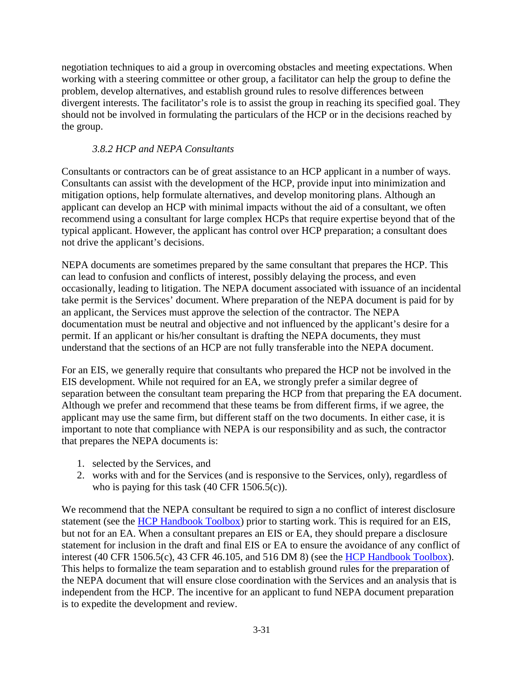negotiation techniques to aid a group in overcoming obstacles and meeting expectations. When working with a steering committee or other group, a facilitator can help the group to define the problem, develop alternatives, and establish ground rules to resolve differences between divergent interests. The facilitator's role is to assist the group in reaching its specified goal. They should not be involved in formulating the particulars of the HCP or in the decisions reached by the group.

## *3.8.2 HCP and NEPA Consultants*

Consultants or contractors can be of great assistance to an HCP applicant in a number of ways. Consultants can assist with the development of the HCP, provide input into minimization and mitigation options, help formulate alternatives, and develop monitoring plans. Although an applicant can develop an HCP with minimal impacts without the aid of a consultant, we often recommend using a consultant for large complex HCPs that require expertise beyond that of the typical applicant. However, the applicant has control over HCP preparation; a consultant does not drive the applicant's decisions.

NEPA documents are sometimes prepared by the same consultant that prepares the HCP. This can lead to confusion and conflicts of interest, possibly delaying the process, and even occasionally, leading to litigation. The NEPA document associated with issuance of an incidental take permit is the Services' document. Where preparation of the NEPA document is paid for by an applicant, the Services must approve the selection of the contractor. The NEPA documentation must be neutral and objective and not influenced by the applicant's desire for a permit. If an applicant or his/her consultant is drafting the NEPA documents, they must understand that the sections of an HCP are not fully transferable into the NEPA document.

For an EIS, we generally require that consultants who prepared the HCP not be involved in the EIS development. While not required for an EA, we strongly prefer a similar degree of separation between the consultant team preparing the HCP from that preparing the EA document. Although we prefer and recommend that these teams be from different firms, if we agree, the applicant may use the same firm, but different staff on the two documents. In either case, it is important to note that compliance with NEPA is our responsibility and as such, the contractor that prepares the NEPA documents is:

- 1. selected by the Services, and
- 2. works with and for the Services (and is responsive to the Services, only), regardless of who is paying for this task (40 CFR 1506.5(c)).

We recommend that the NEPA consultant be required to sign a no conflict of interest disclosure statement (see the [HCP Handbook Toolbox\)](https://www.fws.gov/endangered/what-we-do/hcp-handbook-toolbox.html#Ch3) prior to starting work. This is required for an EIS, but not for an EA. When a consultant prepares an EIS or EA, they should prepare a disclosure statement for inclusion in the draft and final EIS or EA to ensure the avoidance of any conflict of interest (40 CFR 1506.5(c), 43 CFR 46.105, and 516 DM 8) (see the [HCP Handbook Toolbox\)](https://www.fws.gov/endangered/what-we-do/hcp-handbook-toolbox.html#Ch3). This helps to formalize the team separation and to establish ground rules for the preparation of the NEPA document that will ensure close coordination with the Services and an analysis that is independent from the HCP. The incentive for an applicant to fund NEPA document preparation is to expedite the development and review.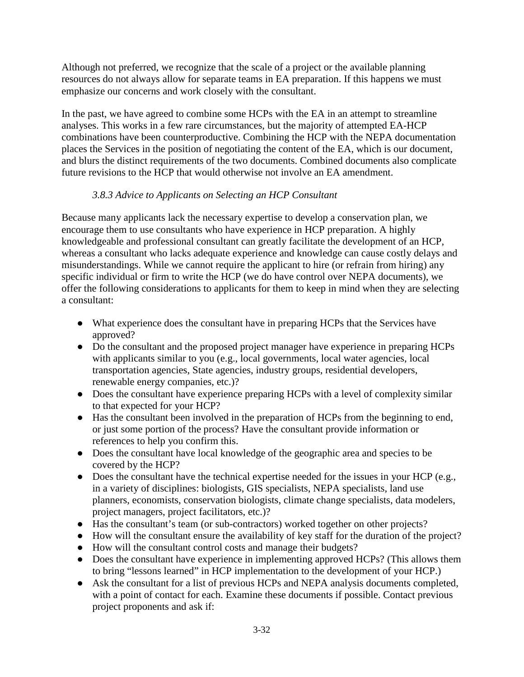Although not preferred, we recognize that the scale of a project or the available planning resources do not always allow for separate teams in EA preparation. If this happens we must emphasize our concerns and work closely with the consultant.

In the past, we have agreed to combine some HCPs with the EA in an attempt to streamline analyses. This works in a few rare circumstances, but the majority of attempted EA-HCP combinations have been counterproductive. Combining the HCP with the NEPA documentation places the Services in the position of negotiating the content of the EA, which is our document, and blurs the distinct requirements of the two documents. Combined documents also complicate future revisions to the HCP that would otherwise not involve an EA amendment.

# *3.8.3 Advice to Applicants on Selecting an HCP Consultant*

Because many applicants lack the necessary expertise to develop a conservation plan, we encourage them to use consultants who have experience in HCP preparation. A highly knowledgeable and professional consultant can greatly facilitate the development of an HCP, whereas a consultant who lacks adequate experience and knowledge can cause costly delays and misunderstandings. While we cannot require the applicant to hire (or refrain from hiring) any specific individual or firm to write the HCP (we do have control over NEPA documents), we offer the following considerations to applicants for them to keep in mind when they are selecting a consultant:

- What experience does the consultant have in preparing HCPs that the Services have approved?
- Do the consultant and the proposed project manager have experience in preparing HCPs with applicants similar to you (e.g., local governments, local water agencies, local transportation agencies, State agencies, industry groups, residential developers, renewable energy companies, etc.)?
- Does the consultant have experience preparing HCPs with a level of complexity similar to that expected for your HCP?
- Has the consultant been involved in the preparation of HCPs from the beginning to end, or just some portion of the process? Have the consultant provide information or references to help you confirm this.
- Does the consultant have local knowledge of the geographic area and species to be covered by the HCP?
- $\bullet$  Does the consultant have the technical expertise needed for the issues in your HCP (e.g., in a variety of disciplines: biologists, GIS specialists, NEPA specialists, land use planners, economists, conservation biologists, climate change specialists, data modelers, project managers, project facilitators, etc.)?
- Has the consultant's team (or sub-contractors) worked together on other projects?
- How will the consultant ensure the availability of key staff for the duration of the project?
- How will the consultant control costs and manage their budgets?
- Does the consultant have experience in implementing approved HCPs? (This allows them to bring "lessons learned" in HCP implementation to the development of your HCP.)
- Ask the consultant for a list of previous HCPs and NEPA analysis documents completed, with a point of contact for each. Examine these documents if possible. Contact previous project proponents and ask if: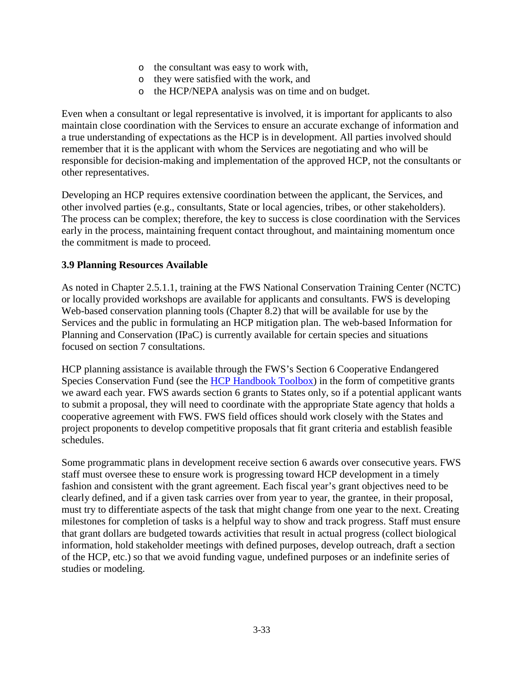- o the consultant was easy to work with,
- o they were satisfied with the work, and
- o the HCP/NEPA analysis was on time and on budget.

Even when a consultant or legal representative is involved, it is important for applicants to also maintain close coordination with the Services to ensure an accurate exchange of information and a true understanding of expectations as the HCP is in development. All parties involved should remember that it is the applicant with whom the Services are negotiating and who will be responsible for decision-making and implementation of the approved HCP, not the consultants or other representatives.

Developing an HCP requires extensive coordination between the applicant, the Services, and other involved parties (e.g., consultants, State or local agencies, tribes, or other stakeholders). The process can be complex; therefore, the key to success is close coordination with the Services early in the process, maintaining frequent contact throughout, and maintaining momentum once the commitment is made to proceed.

#### **3.9 Planning Resources Available**

As noted in Chapter 2.5.1.1, training at the FWS National Conservation Training Center (NCTC) or locally provided workshops are available for applicants and consultants. FWS is developing Web-based conservation planning tools (Chapter 8.2) that will be available for use by the Services and the public in formulating an HCP mitigation plan. The web-based Information for Planning and Conservation (IPaC) is currently available for certain species and situations focused on section 7 consultations.

HCP planning assistance is available through the FWS's Section 6 Cooperative Endangered Species Conservation Fund (see the [HCP Handbook Toolbox\)](https://www.fws.gov/endangered/what-we-do/hcp-handbook-toolbox.html#Ch3) in the form of competitive grants we award each year. FWS awards section 6 grants to States only, so if a potential applicant wants to submit a proposal, they will need to coordinate with the appropriate State agency that holds a cooperative agreement with FWS. FWS field offices should work closely with the States and project proponents to develop competitive proposals that fit grant criteria and establish feasible schedules.

Some programmatic plans in development receive section 6 awards over consecutive years. FWS staff must oversee these to ensure work is progressing toward HCP development in a timely fashion and consistent with the grant agreement. Each fiscal year's grant objectives need to be clearly defined, and if a given task carries over from year to year, the grantee, in their proposal, must try to differentiate aspects of the task that might change from one year to the next. Creating milestones for completion of tasks is a helpful way to show and track progress. Staff must ensure that grant dollars are budgeted towards activities that result in actual progress (collect biological information, hold stakeholder meetings with defined purposes, develop outreach, draft a section of the HCP, etc.) so that we avoid funding vague, undefined purposes or an indefinite series of studies or modeling.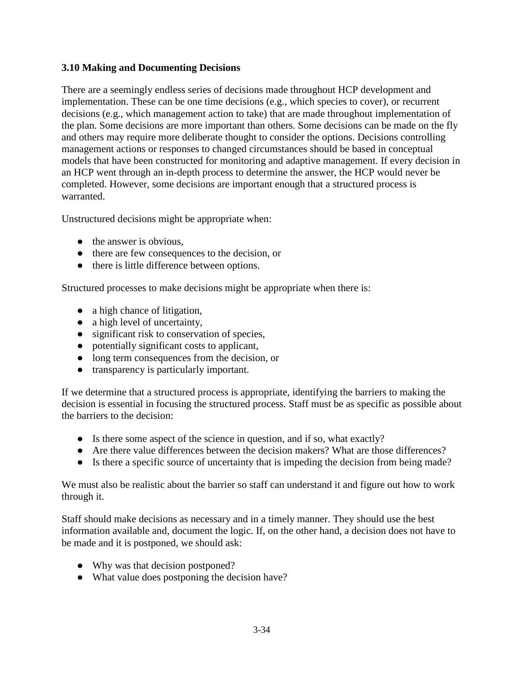## **3.10 Making and Documenting Decisions**

There are a seemingly endless series of decisions made throughout HCP development and implementation. These can be one time decisions (e.g., which species to cover), or recurrent decisions (e.g., which management action to take) that are made throughout implementation of the plan. Some decisions are more important than others. Some decisions can be made on the fly and others may require more deliberate thought to consider the options. Decisions controlling management actions or responses to changed circumstances should be based in conceptual models that have been constructed for monitoring and adaptive management. If every decision in an HCP went through an in-depth process to determine the answer, the HCP would never be completed. However, some decisions are important enough that a structured process is warranted.

Unstructured decisions might be appropriate when:

- $\bullet$  the answer is obvious.
- there are few consequences to the decision, or
- there is little difference between options.

Structured processes to make decisions might be appropriate when there is:

- a high chance of litigation,
- a high level of uncertainty,
- significant risk to conservation of species,
- potentially significant costs to applicant,
- long term consequences from the decision, or
- transparency is particularly important.

If we determine that a structured process is appropriate, identifying the barriers to making the decision is essential in focusing the structured process. Staff must be as specific as possible about the barriers to the decision:

- Is there some aspect of the science in question, and if so, what exactly?
- Are there value differences between the decision makers? What are those differences?
- Is there a specific source of uncertainty that is impeding the decision from being made?

We must also be realistic about the barrier so staff can understand it and figure out how to work through it.

Staff should make decisions as necessary and in a timely manner. They should use the best information available and, document the logic. If, on the other hand, a decision does not have to be made and it is postponed, we should ask:

- Why was that decision postponed?
- What value does postponing the decision have?